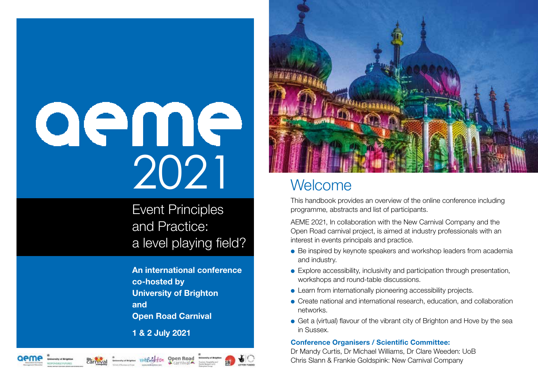# aeme 2021

Event Principles and Practice: a level playing field?

An international conference co-hosted by University of Brighton and **Open Road Carnival** 

1 & 2 July 2021



# **Welcome**

This handbook provides an overview of the online conference including programme, abstracts and list of participants.

AEME 2021, In collaboration with the New Carnival Company and the Open Road carnival project, is aimed at industry professionals with an interest in events principals and practice.

- Be inspired by keynote speakers and workshop leaders from academia and industry.
- Explore accessibility, inclusivity and participation through presentation, workshops and round-table discussions.
- Learn from internationally pioneering accessibility projects.
- Create national and international research, education, and collaboration networks.
- Get a (virtual) flavour of the vibrant city of Brighton and Hove by the sea in Sussex.

#### Conference Organisers / Scientific Committee:

Dr Mandy Curtis, Dr Michael Williams, Dr Clare Weeden: UoB Chris Slann & Frankie Goldspink: New Carnival Company







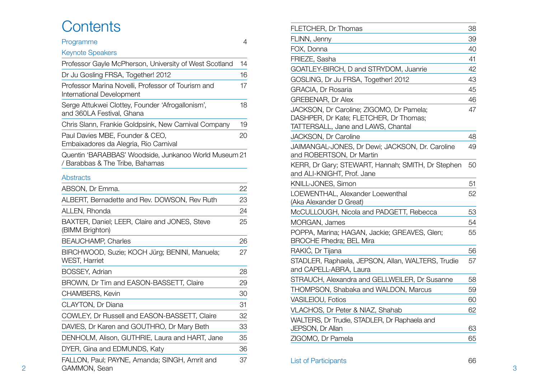# **Contents**

| Programme                                                                                | 4  |
|------------------------------------------------------------------------------------------|----|
| <b>Keynote Speakers</b>                                                                  |    |
| Professor Gayle McPherson, University of West Scotland                                   | 14 |
| Dr Ju Gosling FRSA, Together! 2012                                                       | 16 |
| Professor Marina Novelli, Professor of Tourism and<br>International Development          | 17 |
| Serge Attukwei Clottey, Founder 'Afrogallonism',<br>and 360LA Festival, Ghana            | 18 |
| Chris Slann, Frankie Goldpsink, New Carnival Company                                     | 19 |
| Paul Davies MBE, Founder & CEO,<br>Embaixadores da Alegria, Rio Carnival                 | 20 |
| Quentin 'BARABBAS' Woodside, Junkanoo World Museum 21<br>/ Barabbas & The Tribe, Bahamas |    |
| <b>Abstracts</b>                                                                         |    |
| ABSON, Dr Emma.                                                                          | 22 |
| ALBERT, Bernadette and Rev. DOWSON, Rev Ruth                                             | 23 |
| ALLEN, Rhonda                                                                            | 24 |
| BAXTER, Daniel; LEER, Claire and JONES, Steve<br>(BIMM Brighton)                         | 25 |
| <b>BEAUCHAMP, Charles</b>                                                                | 26 |
| BIRCHWOOD, Suzie; KOCH Jürg; BENINI, Manuela;<br><b>WEST, Harriet</b>                    | 27 |
| <b>BOSSEY, Adrian</b>                                                                    | 28 |
| BROWN, Dr Tim and EASON-BASSETT, Claire                                                  | 29 |
| <b>CHAMBERS, Kevin</b>                                                                   | 30 |
| <b>CLAYTON, Dr Diana</b>                                                                 | 31 |
| COWLEY, Dr Russell and EASON-BASSETT, Claire                                             | 32 |
| DAVIES, Dr Karen and GOUTHRO, Dr Mary Beth                                               | 33 |
| DENHOLM, Alison, GUTHRIE, Laura and HART, Jane                                           | 35 |
| DYER, Gina and EDMUNDS, Katy                                                             | 36 |
| FALLON, Paul; PAYNE, Amanda; SINGH, Amrit and<br>GAMMON, Sean                            | 37 |

| FLETCHER, Dr Thomas                                                                                                      | 38 |
|--------------------------------------------------------------------------------------------------------------------------|----|
| FLINN, Jenny                                                                                                             | 39 |
| FOX, Donna                                                                                                               | 40 |
| FRIEZE, Sasha                                                                                                            | 41 |
| GOATLEY-BIRCH, D and STRYDOM, Juanrie                                                                                    | 42 |
| GOSLING, Dr Ju FRSA, Together! 2012                                                                                      | 43 |
| GRACIA, Dr Rosaria                                                                                                       | 45 |
| GREBENAR, Dr Alex                                                                                                        | 46 |
| JACKSON, Dr Caroline; ZIGOMO, Dr Pamela;<br>DASHPER, Dr Kate; FLETCHER, Dr Thomas;<br>TATTERSALL, Jane and LAWS, Chantal | 47 |
| JACKSON, Dr Caroline                                                                                                     | 48 |
| JAIMANGAL-JONES, Dr Dewi; JACKSON, Dr. Caroline<br>and ROBERTSON, Dr Martin                                              | 49 |
| KERR, Dr Gary; STEWART, Hannah; SMITH, Dr Stephen<br>and ALI-KNIGHT, Prof. Jane                                          | 50 |
| KNILL-JONES, Simon                                                                                                       | 51 |
| LOEWENTHAL, Alexander Loewenthal<br>(Aka Alexander D Great)                                                              | 52 |
| McCULLOUGH, Nicola and PADGETT, Rebecca                                                                                  | 53 |
| MORGAN, James                                                                                                            | 54 |
| POPPA, Marina; HAGAN, Jackie; GREAVES, Glen;<br>BROCHE Phedra; BEL Mira                                                  | 55 |
| RAKIĆ, Dr Tijana                                                                                                         | 56 |
| STADLER, Raphaela, JEPSON, Allan, WALTERS, Trudie<br>and CAPELL-ABRA, Laura                                              | 57 |
| STRAUCH, Alexandra and GELLWEILER, Dr Susanne                                                                            | 58 |
| THOMPSON, Shabaka and WALDON, Marcus                                                                                     | 59 |
| <b>VASILEIOU, Fotios</b>                                                                                                 | 60 |
| VLACHOS, Dr Peter & NIAZ, Shahab                                                                                         | 62 |
| WALTERS, Dr Trudie, STADLER, Dr Raphaela and                                                                             |    |
| <b>JEPSON, Dr Allan</b>                                                                                                  | 63 |
| ZIGOMO, Dr Pamela                                                                                                        | 65 |
|                                                                                                                          |    |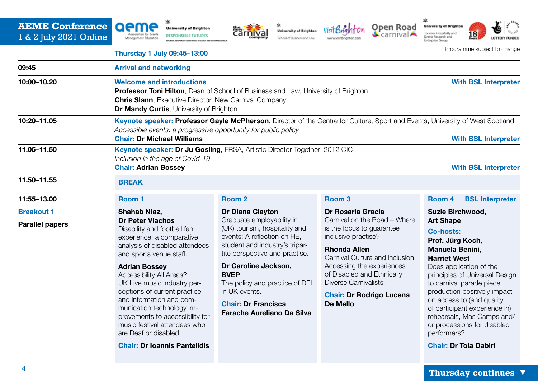# **AEME Conference**  1 & 2 July 2021 Online











家



Programme subject to change

#### Thursday 1 July 09:45–13:00

| 09:45                                       | <b>Arrival and networking</b>                                                                                                                                                                                                                                                                                                                                                                                                                                                   |                                                                                                                                                                                                                                                                                                                                                |                                                                                                                                                                                                                                                                                                                  |                                                                                                                                                                                                                                                                                                                                                                                                                           |  |
|---------------------------------------------|---------------------------------------------------------------------------------------------------------------------------------------------------------------------------------------------------------------------------------------------------------------------------------------------------------------------------------------------------------------------------------------------------------------------------------------------------------------------------------|------------------------------------------------------------------------------------------------------------------------------------------------------------------------------------------------------------------------------------------------------------------------------------------------------------------------------------------------|------------------------------------------------------------------------------------------------------------------------------------------------------------------------------------------------------------------------------------------------------------------------------------------------------------------|---------------------------------------------------------------------------------------------------------------------------------------------------------------------------------------------------------------------------------------------------------------------------------------------------------------------------------------------------------------------------------------------------------------------------|--|
| 10:00-10.20                                 | <b>Welcome and introductions</b><br><b>With BSL Interpreter</b><br><b>Professor Toni Hilton</b> , Dean of School of Business and Law, University of Brighton<br><b>Chris Slann</b> , Executive Director, New Carnival Company<br>Dr Mandy Curtis, University of Brighton                                                                                                                                                                                                        |                                                                                                                                                                                                                                                                                                                                                |                                                                                                                                                                                                                                                                                                                  |                                                                                                                                                                                                                                                                                                                                                                                                                           |  |
| 10:20-11.05                                 | Keynote speaker: Professor Gayle McPherson, Director of the Centre for Culture, Sport and Events, University of West Scotland<br>Accessible events: a progressive opportunity for public policy<br><b>Chair: Dr Michael Williams</b><br><b>With BSL Interpreter</b>                                                                                                                                                                                                             |                                                                                                                                                                                                                                                                                                                                                |                                                                                                                                                                                                                                                                                                                  |                                                                                                                                                                                                                                                                                                                                                                                                                           |  |
| 11.05-11.50<br>11.50-11.55                  | Keynote speaker: Dr Ju Gosling, FRSA, Artistic Director Together! 2012 CIC<br>Inclusion in the age of Covid-19<br><b>Chair: Adrian Bossey</b><br><b>With BSL Interpreter</b>                                                                                                                                                                                                                                                                                                    |                                                                                                                                                                                                                                                                                                                                                |                                                                                                                                                                                                                                                                                                                  |                                                                                                                                                                                                                                                                                                                                                                                                                           |  |
|                                             | <b>BREAK</b>                                                                                                                                                                                                                                                                                                                                                                                                                                                                    |                                                                                                                                                                                                                                                                                                                                                |                                                                                                                                                                                                                                                                                                                  |                                                                                                                                                                                                                                                                                                                                                                                                                           |  |
| 11:55-13.00                                 | Room 1                                                                                                                                                                                                                                                                                                                                                                                                                                                                          | Room <sub>2</sub>                                                                                                                                                                                                                                                                                                                              | Room <sub>3</sub>                                                                                                                                                                                                                                                                                                | <b>BSL Interpreter</b><br>Room 4                                                                                                                                                                                                                                                                                                                                                                                          |  |
| <b>Breakout 1</b><br><b>Parallel papers</b> | Shahab Niaz,<br><b>Dr Peter Vlachos</b><br>Disability and football fan<br>experience: a comparative<br>analysis of disabled attendees<br>and sports venue staff.<br><b>Adrian Bossey</b><br>Accessibility All Areas?<br>UK Live music industry per-<br>ceptions of current practice<br>and information and com-<br>munication technology im-<br>provements to accessibility for<br>music festival attendees who<br>are Deaf or disabled.<br><b>Chair: Dr Ioannis Pantelidis</b> | Dr Diana Clayton<br>Graduate employability in<br>(UK) tourism, hospitality and<br>events: A reflection on HE,<br>student and industry's tripar-<br>tite perspective and practise.<br>Dr Caroline Jackson,<br><b>BVEP</b><br>The policy and practice of DEI<br>in UK events.<br><b>Chair: Dr Francisca</b><br><b>Farache Aureliano Da Silva</b> | <b>Dr Rosaria Gracia</b><br>Carnival on the Road - Where<br>is the focus to guarantee<br>inclusive practise?<br><b>Rhonda Allen</b><br>Carnival Culture and inclusion:<br>Accessing the experiences<br>of Disabled and Ethnically<br>Diverse Carnivalists.<br><b>Chair: Dr Rodrigo Lucena</b><br><b>De Mello</b> | Suzie Birchwood,<br><b>Art Shape</b><br><b>Co-hosts:</b><br>Prof. Jürg Koch,<br>Manuela Benini,<br><b>Harriet West</b><br>Does application of the<br>principles of Universal Design<br>to carnival parade piece<br>production positively impact<br>on access to (and quality<br>of participant experience in)<br>rehearsals, Mas Camps and/<br>or processions for disabled<br>performers?<br><b>Chair: Dr Tola Dabiri</b> |  |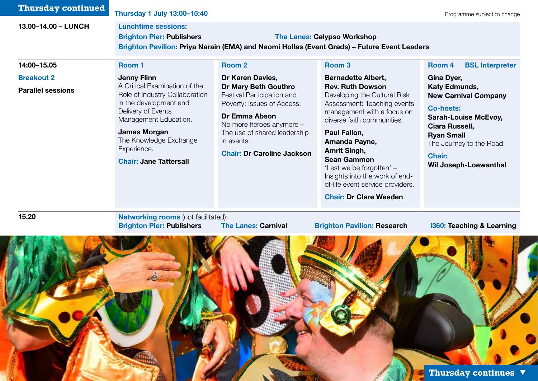| <b>Lunchtime sessions:</b>       |                                                                                                                                                     |                                                                                                                                        |                                                                                                                                                                                                                                                                                                                                                                                               |
|----------------------------------|-----------------------------------------------------------------------------------------------------------------------------------------------------|----------------------------------------------------------------------------------------------------------------------------------------|-----------------------------------------------------------------------------------------------------------------------------------------------------------------------------------------------------------------------------------------------------------------------------------------------------------------------------------------------------------------------------------------------|
| <b>Brighton Pier: Publishers</b> |                                                                                                                                                     |                                                                                                                                        |                                                                                                                                                                                                                                                                                                                                                                                               |
|                                  |                                                                                                                                                     |                                                                                                                                        |                                                                                                                                                                                                                                                                                                                                                                                               |
| Room 1                           | Room <sub>2</sub>                                                                                                                                   | Room <sub>3</sub>                                                                                                                      | Room 4<br><b>BSL Interpreter</b>                                                                                                                                                                                                                                                                                                                                                              |
| <b>Jenny Flinn</b>               | Dr Karen Davies,                                                                                                                                    | <b>Bernadette Albert,</b>                                                                                                              | Gina Dyer,                                                                                                                                                                                                                                                                                                                                                                                    |
|                                  | Dr Mary Beth Gouthro                                                                                                                                | <b>Rev. Ruth Dowson</b>                                                                                                                | Katy Edmunds,                                                                                                                                                                                                                                                                                                                                                                                 |
| in the development and           | Poverty: Issues of Access.                                                                                                                          | Assessment: Teaching events                                                                                                            | <b>New Carnival Company</b>                                                                                                                                                                                                                                                                                                                                                                   |
| Delivery of Events               | Dr Emma Abson                                                                                                                                       | management with a focus on                                                                                                             | <b>Co-hosts:</b><br><b>Sarah-Louise McEvoy,</b>                                                                                                                                                                                                                                                                                                                                               |
|                                  | No more heroes anymore -                                                                                                                            |                                                                                                                                        | Ciara Russell,                                                                                                                                                                                                                                                                                                                                                                                |
| The Knowledge Exchange           | in events.                                                                                                                                          |                                                                                                                                        | <b>Ryan Small</b><br>The Journey to the Road.                                                                                                                                                                                                                                                                                                                                                 |
| Experience.                      | <b>Chair: Dr Caroline Jackson</b>                                                                                                                   | Amrit Singh,                                                                                                                           | <b>Chair:</b>                                                                                                                                                                                                                                                                                                                                                                                 |
| <b>Chair: Jane Tattersall</b>    |                                                                                                                                                     |                                                                                                                                        | <b>Wil Joseph-Loewanthal</b>                                                                                                                                                                                                                                                                                                                                                                  |
|                                  |                                                                                                                                                     | Insights into the work of end-                                                                                                         |                                                                                                                                                                                                                                                                                                                                                                                               |
|                                  |                                                                                                                                                     |                                                                                                                                        |                                                                                                                                                                                                                                                                                                                                                                                               |
|                                  |                                                                                                                                                     |                                                                                                                                        |                                                                                                                                                                                                                                                                                                                                                                                               |
|                                  |                                                                                                                                                     |                                                                                                                                        |                                                                                                                                                                                                                                                                                                                                                                                               |
|                                  |                                                                                                                                                     |                                                                                                                                        | i360: Teaching & Learning                                                                                                                                                                                                                                                                                                                                                                     |
|                                  |                                                                                                                                                     |                                                                                                                                        |                                                                                                                                                                                                                                                                                                                                                                                               |
|                                  | A Critical Examination of the<br>Role of Industry Collaboration<br>Management Education.<br><b>James Morgan</b><br><b>Brighton Pier: Publishers</b> | Festival Participation and<br>The use of shared leadership<br><b>Networking rooms (not facilitated):</b><br><b>The Lanes: Carnival</b> | <b>The Lanes: Calypso Workshop</b><br>Brighton Pavilion: Priya Narain (EMA) and Naomi Hollas (Event Grads) - Future Event Leaders<br>Developing the Cultural Risk<br>diverse faith communities.<br>Paul Fallon,<br>Amanda Payne,<br><b>Sean Gammon</b><br>'Lest we be forgotten' -<br>of-life event service providers.<br><b>Chair: Dr Clare Weeden</b><br><b>Brighton Pavilion: Research</b> |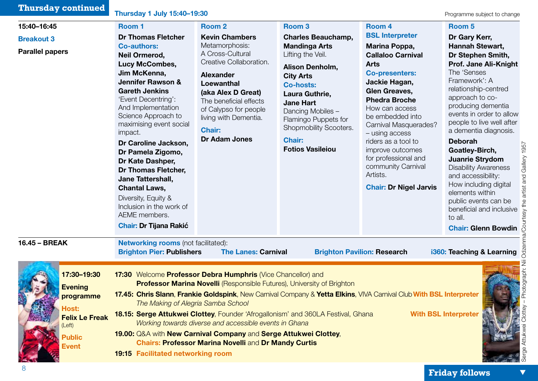| <b>Thursday continued</b>                                                                                               | Thursday 1 July 15:40-19:30                                                                                                                                                                                                                                                                                                                                                                                                                                                                                                                    |                                                                                                                                                                                                                                                                                                                                            |                                                                                                                                                                                                                                                                                                                 |                                                                                                                                                                                                                                                                                                                                                                                                               | Programme subject to change                                                                                                                                                                                                                                                                                                                                                                                                                                                                                                                        |
|-------------------------------------------------------------------------------------------------------------------------|------------------------------------------------------------------------------------------------------------------------------------------------------------------------------------------------------------------------------------------------------------------------------------------------------------------------------------------------------------------------------------------------------------------------------------------------------------------------------------------------------------------------------------------------|--------------------------------------------------------------------------------------------------------------------------------------------------------------------------------------------------------------------------------------------------------------------------------------------------------------------------------------------|-----------------------------------------------------------------------------------------------------------------------------------------------------------------------------------------------------------------------------------------------------------------------------------------------------------------|---------------------------------------------------------------------------------------------------------------------------------------------------------------------------------------------------------------------------------------------------------------------------------------------------------------------------------------------------------------------------------------------------------------|----------------------------------------------------------------------------------------------------------------------------------------------------------------------------------------------------------------------------------------------------------------------------------------------------------------------------------------------------------------------------------------------------------------------------------------------------------------------------------------------------------------------------------------------------|
| 15:40-16:45<br><b>Breakout 3</b><br><b>Parallel papers</b>                                                              | Room 1<br><b>Dr Thomas Fletcher</b><br><b>Co-authors:</b><br><b>Neil Ormerod,</b><br><b>Lucy McCombes,</b><br>Jim McKenna,<br><b>Jennifer Rawson &amp;</b><br><b>Gareth Jenkins</b><br>'Event Decentring':<br>And Implementation<br>Science Approach to<br>maximising event social<br>impact.<br>Dr Caroline Jackson,<br>Dr Pamela Zigomo,<br>Dr Kate Dashper,<br><b>Dr Thomas Fletcher,</b><br>Jane Tattershall,<br><b>Chantal Laws,</b><br>Diversity, Equity &<br>Inclusion in the work of<br>AEME members.<br><b>Chair: Dr Tijana Rakić</b> | Room <sub>2</sub><br><b>Kevin Chambers</b><br>Metamorphosis:<br>A Cross-Cultural<br>Creative Collaboration.<br><b>Alexander</b><br><b>Loewanthal</b><br>(aka Alex D Great)<br>The beneficial effects<br>of Calypso for people<br>living with Dementia.<br><b>Chair:</b><br><b>Dr Adam Jones</b>                                            | Room <sub>3</sub><br><b>Charles Beauchamp,</b><br><b>Mandinga Arts</b><br>Lifting the Veil.<br>Alison Denholm,<br><b>City Arts</b><br><b>Co-hosts:</b><br>Laura Guthrie,<br><b>Jane Hart</b><br>Dancing Mobiles -<br>Flamingo Puppets for<br>Shopmobility Scooters.<br><b>Chair:</b><br><b>Fotios Vasileiou</b> | Room 4<br><b>BSL Interpreter</b><br>Marina Poppa,<br><b>Callaloo Carnival</b><br><b>Arts</b><br><b>Co-presenters:</b><br>Jackie Hagan,<br><b>Glen Greaves,</b><br><b>Phedra Broche</b><br>How can access<br>be embedded into<br>Carnival Masquerades?<br>- using access<br>riders as a tool to<br>improve outcomes<br>for professional and<br>community Carnival<br>Artists.<br><b>Chair: Dr Nigel Jarvis</b> | Room <sub>5</sub><br>Dr Gary Kerr,<br><b>Hannah Stewart,</b><br>Dr Stephen Smith,<br>Prof. Jane Ali-Knight<br>The 'Senses<br>Framework': A<br>relationship-centred<br>approach to co-<br>producing dementia<br>events in order to allow<br>people to live well after<br>a dementia diagnosis.<br><b>Deborah</b><br>Goatley-Birch,<br>Juanrie Strydom<br><b>Disability Awareness</b><br>and accessibility:<br>How including digital<br>elements within<br>public events can be<br>beneficial and inclusive<br>to all.<br><b>Chair: Glenn Bowdin</b> |
| 16.45 - BREAK                                                                                                           | <b>Networking rooms (not facilitated):</b><br><b>Brighton Pier: Publishers</b>                                                                                                                                                                                                                                                                                                                                                                                                                                                                 | <b>The Lanes: Carnival</b>                                                                                                                                                                                                                                                                                                                 |                                                                                                                                                                                                                                                                                                                 | <b>Brighton Pavilion: Research</b>                                                                                                                                                                                                                                                                                                                                                                            | i360: Teaching & Learning                                                                                                                                                                                                                                                                                                                                                                                                                                                                                                                          |
| 17:30-19:30<br><b>Evening</b><br>programme<br><b>Host:</b><br><b>Felix Le Freak</b><br>(Left)<br><b>Public</b><br>Event | The Making of Alegria Samba School<br><b>19:15 Facilitated networking room</b>                                                                                                                                                                                                                                                                                                                                                                                                                                                                 | 17:30 Welcome Professor Debra Humphris (Vice Chancellor) and<br><b>Professor Marina Novelli</b> (Responsible Futures), University of Brighton<br>Working towards diverse and accessible events in Ghana<br>19.00: Q&A with New Carnival Company and Serge Attukwei Clottey,<br><b>Chairs: Professor Marina Novelli and Dr Mandy Curtis</b> | 18.15: Serge Attukwei Clottey, Founder 'Afrogallonism' and 360LA Festival, Ghana                                                                                                                                                                                                                                | 17.45: Chris Slann, Frankie Goldspink, New Carnival Company & Yetta Elkins, VIVA Carnival Club With BSL Interpreter                                                                                                                                                                                                                                                                                           | <b>With BSL Interpreter</b>                                                                                                                                                                                                                                                                                                                                                                                                                                                                                                                        |

**Control**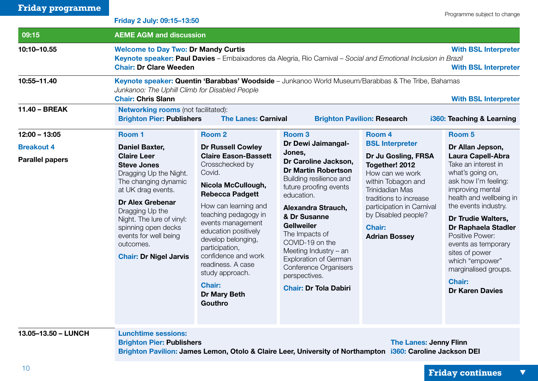| <b>Friday programme</b> |                                                                                                                                                                                                                                                                                           |                                                                                                                                                                                                                                                                                                                                                                 |                                                                                                                                                                                                                                                                                                                                                          |                                                                                                                                                                                                                                 |                                                                                                                                                                                                                                                                                                                                                                                 |
|-------------------------|-------------------------------------------------------------------------------------------------------------------------------------------------------------------------------------------------------------------------------------------------------------------------------------------|-----------------------------------------------------------------------------------------------------------------------------------------------------------------------------------------------------------------------------------------------------------------------------------------------------------------------------------------------------------------|----------------------------------------------------------------------------------------------------------------------------------------------------------------------------------------------------------------------------------------------------------------------------------------------------------------------------------------------------------|---------------------------------------------------------------------------------------------------------------------------------------------------------------------------------------------------------------------------------|---------------------------------------------------------------------------------------------------------------------------------------------------------------------------------------------------------------------------------------------------------------------------------------------------------------------------------------------------------------------------------|
|                         | Friday 2 July: 09:15-13:50                                                                                                                                                                                                                                                                |                                                                                                                                                                                                                                                                                                                                                                 |                                                                                                                                                                                                                                                                                                                                                          |                                                                                                                                                                                                                                 | Programme subject to change                                                                                                                                                                                                                                                                                                                                                     |
| 09:15                   |                                                                                                                                                                                                                                                                                           | <b>AEME AGM and discussion</b>                                                                                                                                                                                                                                                                                                                                  |                                                                                                                                                                                                                                                                                                                                                          |                                                                                                                                                                                                                                 |                                                                                                                                                                                                                                                                                                                                                                                 |
| 10:10-10.55             | <b>Chair: Dr Clare Weeden</b>                                                                                                                                                                                                                                                             | <b>Welcome to Day Two: Dr Mandy Curtis</b><br><b>With BSL Interpreter</b><br>Keynote speaker: Paul Davies - Embaixadores da Alegria, Rio Carnival - Social and Emotional Inclusion in Brazil<br><b>With BSL Interpreter</b>                                                                                                                                     |                                                                                                                                                                                                                                                                                                                                                          |                                                                                                                                                                                                                                 |                                                                                                                                                                                                                                                                                                                                                                                 |
| 10:55-11.40             | Junkanoo: The Uphill Climb for Disabled People<br><b>Chair: Chris Slann</b>                                                                                                                                                                                                               | Keynote speaker: Quentin 'Barabbas' Woodside - Junkanoo World Museum/Barabbas & The Tribe, Bahamas                                                                                                                                                                                                                                                              |                                                                                                                                                                                                                                                                                                                                                          |                                                                                                                                                                                                                                 | <b>With BSL Interpreter</b>                                                                                                                                                                                                                                                                                                                                                     |
| 11.40 - BREAK           | <b>Networking rooms (not facilitated):</b><br><b>Brighton Pier: Publishers</b>                                                                                                                                                                                                            | <b>The Lanes: Carnival</b>                                                                                                                                                                                                                                                                                                                                      |                                                                                                                                                                                                                                                                                                                                                          | <b>Brighton Pavilion: Research</b>                                                                                                                                                                                              | i360: Teaching & Learning                                                                                                                                                                                                                                                                                                                                                       |
| $12:00 - 13:05$         | Room 1                                                                                                                                                                                                                                                                                    | Room <sub>2</sub>                                                                                                                                                                                                                                                                                                                                               | Room <sub>3</sub>                                                                                                                                                                                                                                                                                                                                        | Room 4                                                                                                                                                                                                                          | Room <sub>5</sub>                                                                                                                                                                                                                                                                                                                                                               |
| <b>Breakout 4</b>       | <b>Daniel Baxter,</b>                                                                                                                                                                                                                                                                     | <b>Dr Russell Cowley</b>                                                                                                                                                                                                                                                                                                                                        | Dr Dewi Jaimangal-<br>Jones,                                                                                                                                                                                                                                                                                                                             | <b>BSL Interpreter</b>                                                                                                                                                                                                          | Dr Allan Jepson,                                                                                                                                                                                                                                                                                                                                                                |
| <b>Parallel papers</b>  | <b>Claire Leer</b><br><b>Steve Jones</b><br>Dragging Up the Night.<br>The changing dynamic<br>at UK drag events.<br><b>Dr Alex Grebenar</b><br>Dragging Up the<br>Night. The lure of vinyl:<br>spinning open decks<br>events for well being<br>outcomes.<br><b>Chair: Dr Nigel Jarvis</b> | <b>Claire Eason-Bassett</b><br>Crosschecked by<br>Covid.<br>Nicola McCullough,<br><b>Rebecca Padgett</b><br>How can learning and<br>teaching pedagogy in<br>events management<br>education positively<br>develop belonging,<br>participation,<br>confidence and work<br>readiness. A case<br>study approach.<br><b>Chair:</b><br><b>Dr Mary Beth</b><br>Gouthro | Dr Caroline Jackson,<br><b>Dr Martin Robertson</b><br>Building resilience and<br>future proofing events<br>education.<br>Alexandra Strauch,<br>& Dr Susanne<br><b>Gellweiler</b><br>The Impacts of<br>COVID-19 on the<br>Meeting Industry - an<br><b>Exploration of German</b><br>Conference Organisers<br>perspectives.<br><b>Chair: Dr Tola Dabiri</b> | Dr Ju Gosling, FRSA<br>Together! 2012<br>How can we work<br>within Tobagon and<br><b>Trinidadian Mas</b><br>traditions to increase<br>participation in Carnival<br>by Disabled people?<br><b>Chair:</b><br><b>Adrian Bossey</b> | <b>Laura Capell-Abra</b><br>Take an interest in<br>what's going on,<br>ask how I'm feeling:<br>improving mental<br>health and wellbeing in<br>the events industry.<br><b>Dr Trudie Walters,</b><br>Dr Raphaela Stadler<br><b>Positive Power:</b><br>events as temporary<br>sites of power<br>which "empower"<br>marginalised groups.<br><b>Chair:</b><br><b>Dr Karen Davies</b> |
| 13.05-13.50 - LUNCH     | <b>Lunchtime sessions:</b><br><b>Brighton Pier: Publishers</b>                                                                                                                                                                                                                            | Brighton Pavilion: James Lemon, Otolo & Claire Leer, University of Northampton i360: Caroline Jackson DEI                                                                                                                                                                                                                                                       |                                                                                                                                                                                                                                                                                                                                                          | <b>The Lanes: Jenny Flinn</b>                                                                                                                                                                                                   |                                                                                                                                                                                                                                                                                                                                                                                 |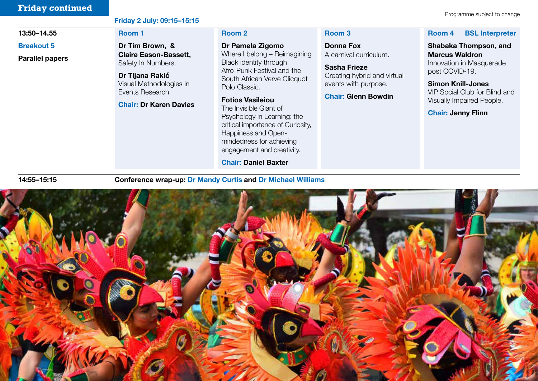# **Friday continued** Programme subject to change

#### Friday 2 July: 09:15–15:15

#### 13:50–14.55

#### Breakout 5

Parallel papers

# Room 1 Dr Tim Brown, &

Claire Eason-Bassett, Safety In Numbers.

**Dr Tijana Rakić**  Visual Methodologies in Events Research.

#### Chair: Dr Karen Davies

#### Room 2

Dr Pamela Zigomo Where I belong – Reimagining Black identity through Afro-Punk Festival and the South African Verve Clicquot Polo Classic.

Fotios Vasileiou The Invisible Giant of Psychology in Learning: the critical importance of Curiosity, Happiness and Openmindedness for achieving engagement and creativity.

Chair: Daniel Baxter

#### Room 3

Donna Fox A carnival curriculum.

Sasha Frieze Creating hybrid and virtual events with purpose.

#### Chair: Glenn Bowdin

#### Room 4 BSL Interpreter

Shabaka Thompson, and Marcus Waldron Innovation in Masquerade post COVID-19.

Simon Knill-Jones VIP Social Club for Blind and Visually Impaired People.

Chair: Jenny Flinn

14:55–15:15

Conference wrap-up: Dr Mandy Curtis and Dr Michael Williams

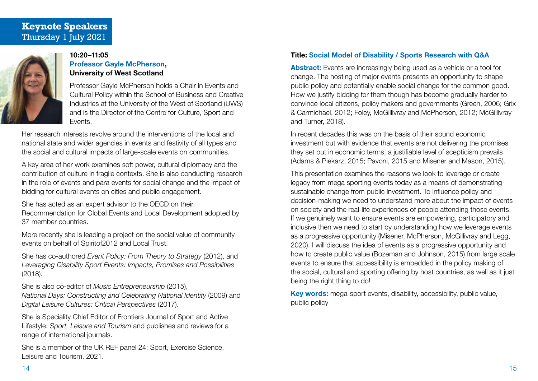# **Keynote Speakers**  Thursday 1 July 2021



#### 10:20–11:05 Professor Gayle McPherson, University of West Scotland

Professor Gayle McPherson holds a Chair in Events and Cultural Policy within the School of Business and Creative Industries at the University of the West of Scotland (UWS) and is the Director of the Centre for Culture, Sport and Events.

Her research interests revolve around the interventions of the local and national state and wider agencies in events and festivity of all types and the social and cultural impacts of large-scale events on communities.

A key area of her work examines soft power, cultural diplomacy and the contribution of culture in fragile contexts. She is also conducting research in the role of events and para events for social change and the impact of bidding for cultural events on cities and public engagement.

She has acted as an expert advisor to the OECD on their Recommendation for Global Events and Local Development adopted by 37 member countries.

More recently she is leading a project on the social value of community events on behalf of Spiritof2012 and Local Trust.

She has co-authored *Event Policy: From Theory to Strategy* (2012), and *Leveraging Disability Sport Events: Impacts, Promises and Possibilities* (2018).

She is also co-editor of *Music Entrepreneurship* (2015),

*National Days: Constructing and Celebrating National Identity* (2009) and *Digital Leisure Cultures: Critical Perspectives* (2017).

She is Speciality Chief Editor of Frontiers Journal of Sport and Active Lifestyle: *Sport, Leisure and Tourism* and publishes and reviews for a range of international journals.

She is a member of the UK REF panel 24: Sport, Exercise Science, Leisure and Tourism, 2021.

## Title: Social Model of Disability / Sports Research with Q&A

Abstract: Events are increasingly being used as a vehicle or a tool for change. The hosting of major events presents an opportunity to shape public policy and potentially enable social change for the common good. How we justify bidding for them though has become gradually harder to convince local citizens, policy makers and governments (Green, 2006; Grix & Carmichael, 2012; Foley, McGillivray and McPherson, 2012; McGillivray and Turner, 2018).

In recent decades this was on the basis of their sound economic investment but with evidence that events are not delivering the promises they set out in economic terms, a justifiable level of scepticism prevails (Adams & Piekarz, 2015; Pavoni, 2015 and Misener and Mason, 2015).

This presentation examines the reasons we look to leverage or create legacy from mega sporting events today as a means of demonstrating sustainable change from public investment. To influence policy and decision-making we need to understand more about the impact of events on society and the real-life experiences of people attending those events. If we genuinely want to ensure events are empowering, participatory and inclusive then we need to start by understanding how we leverage events as a progressive opportunity (Misener, McPherson, McGillivray and Legg, 2020). I will discuss the idea of events as a progressive opportunity and how to create public value (Bozeman and Johnson, 2015) from large scale events to ensure that accessibility is embedded in the policy making of the social, cultural and sporting offering by host countries, as well as it just being the right thing to do!

Key words: mega-sport events, disability, accessibility, public value, public policy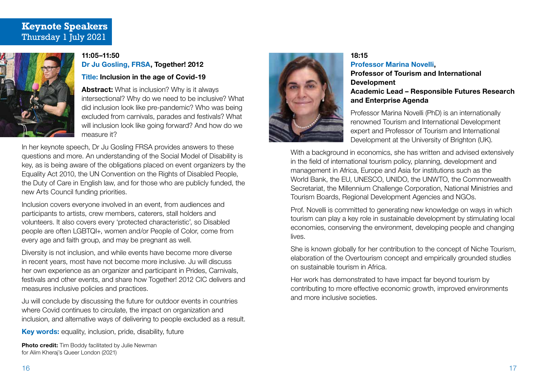# **Keynote Speakers**  Thursday 1 July 2021



#### 11:05–11:50 Dr Ju Gosling, FRSA, Together! 2012

Title: Inclusion in the age of Covid-19

Abstract: What is inclusion? Why is it always intersectional? Why do we need to be inclusive? What did inclusion look like pre-pandemic? Who was being excluded from carnivals, parades and festivals? What will inclusion look like going forward? And how do we measure it?

In her keynote speech, Dr Ju Gosling FRSA provides answers to these questions and more. An understanding of the Social Model of Disability is key, as is being aware of the obligations placed on event organizers by the Equality Act 2010, the UN Convention on the Rights of Disabled People, the Duty of Care in English law, and for those who are publicly funded, the new Arts Council funding priorities.

Inclusion covers everyone involved in an event, from audiences and participants to artists, crew members, caterers, stall holders and volunteers. It also covers every 'protected characteristic', so Disabled people are often LGBTQI+, women and/or People of Color, come from every age and faith group, and may be pregnant as well.

Diversity is not inclusion, and while events have become more diverse in recent years, most have not become more inclusive. Ju will discuss her own experience as an organizer and participant in Prides, Carnivals, festivals and other events, and share how Together! 2012 CIC delivers and measures inclusive policies and practices.

Ju will conclude by discussing the future for outdoor events in countries where Covid continues to circulate, the impact on organization and inclusion, and alternative ways of delivering to people excluded as a result.

Key words: equality, inclusion, pride, disability, future

**Photo credit:** Tim Boddy facilitated by Julie Newman for Alim Kheraj's Queer London (2021)



#### 18:15 Professor Marina Novelli, Professor of Tourism and International Development Academic Lead – Responsible Futures Research and Enterprise Agenda

Professor Marina Novelli (PhD) is an internationally renowned Tourism and International Development expert and Professor of Tourism and International Development at the University of Brighton (UK).

With a background in economics, she has written and advised extensively in the field of international tourism policy, planning, development and management in Africa, Europe and Asia for institutions such as the World Bank, the EU, UNESCO, UNIDO, the UNWTO, the Commonwealth Secretariat, the Millennium Challenge Corporation, National Ministries and Tourism Boards, Regional Development Agencies and NGOs.

Prof. Novelli is committed to generating new knowledge on ways in which tourism can play a key role in sustainable development by stimulating local economies, conserving the environment, developing people and changing lives.

She is known globally for her contribution to the concept of Niche Tourism, elaboration of the Overtourism concept and empirically grounded studies on sustainable tourism in Africa.

Her work has demonstrated to have impact far beyond tourism by contributing to more effective economic growth, improved environments and more inclusive societies.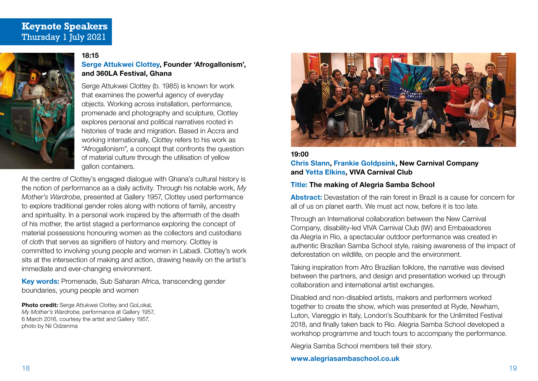# **Keynote Speakers**  Thursday 1 July 2021



#### 18:15

## Serge Attukwei Clottey, Founder 'Afrogallonism', and 360LA Festival, Ghana

Serge Attukwei Clottey (b. 1985) is known for work that examines the powerful agency of everyday objects. Working across installation, performance, promenade and photography and sculpture, Clottey explores personal and political narratives rooted in histories of trade and migration. Based in Accra and working internationally, Clottey refers to his work as "Afrogallonism", a concept that confronts the question of material culture through the utilisation of yellow gallon containers.

At the centre of Clottey's engaged dialogue with Ghana's cultural history is the notion of performance as a daily activity. Through his notable work, *My Mother's Wardrobe*, presented at Gallery 1957, Clottey used performance to explore traditional gender roles along with notions of family, ancestry and spirituality. In a personal work inspired by the aftermath of the death of his mother, the artist staged a performance exploring the concept of material possessions honouring women as the collectors and custodians of cloth that serves as signifiers of history and memory. Clottey is committed to involving young people and women in Labadi. Clottey's work sits at the intersection of making and action, drawing heavily on the artist's immediate and ever-changing environment.

Key words: Promenade, Sub Saharan Africa, transcending gender boundaries, young people and women

Photo credit: Serge Attukwei Clottey and GoLokal, *My Mother's Wardrobe*, performance at Gallery 1957, 6 March 2016, courtesy the artist and Gallery 1957, photo by Nii Odzenma



19:00 Chris Slann, Frankie Goldpsink, New Carnival Company and Yetta Elkins, VIVA Carnival Club

#### Title: The making of Alegria Samba School

Abstract: Devastation of the rain forest in Brazil is a cause for concern for all of us on planet earth. We must act now, before it is too late.

Through an International collaboration between the New Carnival Company, disability-led VIVA Carnival Club (IW) and Embaixadores da Alegria in Rio, a spectacular outdoor performance was created in authentic Brazilian Samba School style, raising awareness of the impact of deforestation on wildlife, on people and the environment.

Taking inspiration from Afro Brazilian folklore, the narrative was devised between the partners, and design and presentation worked up through collaboration and international artist exchanges.

Disabled and non-disabled artists, makers and performers worked together to create the show, which was presented at Ryde, Newham, Luton, Viareggio in Italy, London's Southbank for the Unlimited Festival 2018, and finally taken back to Rio. Alegria Samba School developed a workshop programme and touch tours to accompany the performance.

Alegria Samba School members tell their story.

#### www.alegriasambaschool.co.uk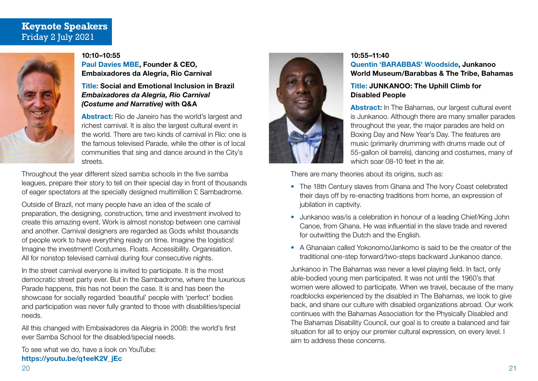# **Keynote Speakers**  Friday 2 July 2021



#### 10:10–10:55

Paul Davies MBE, Founder & CEO, Embaixadores da Alegria, Rio Carnival

#### Title: Social and Emotional Inclusion in Brazil *Embaixadores da Alegria, Rio Carnival (Costume and Narrative)* with Q&A

Abstract: Rio de Janeiro has the world's largest and richest carnival. It is also the largest cultural event in the world. There are two kinds of carnival in Rio: one is the famous televised Parade, while the other is of local communities that sing and dance around in the City's streets.

Throughout the year different sized samba schools in the five samba leagues, prepare their story to tell on their special day in front of thousands of eager spectators at the specially designed multimillion £ Sambadrome.

Outside of Brazil, not many people have an idea of the scale of preparation, the designing, construction, time and investment involved to create this amazing event. Work is almost nonstop between one carnival and another. Carnival designers are regarded as Gods whilst thousands of people work to have everything ready on time. Imagine the logistics! Imagine the investment! Costumes. Floats. Accessibility. Organisation. All for nonstop televised carnival during four consecutive nights.

In the street carnival everyone is invited to participate. It is the most democratic street party ever. But in the Sambadrome, where the luxurious Parade happens, this has not been the case. It is and has been the showcase for socially regarded 'beautiful' people with 'perfect' bodies and participation was never fully granted to those with disabilities/special needs.

All this changed with Embaixadores da Alegria in 2008: the world's first ever Samba School for the disabled/special needs.

To see what we do, have a look on YouTube: https://youtu.be/q1eeK2V\_jEc



#### 10:55–11:40

Quentin 'BARABBAS' Woodside, Junkanoo World Museum/Barabbas & The Tribe, Bahamas

#### Title: JUNKANOO: The Uphill Climb for Disabled People

Abstract: In The Bahamas, our largest cultural event is Junkanoo. Although there are many smaller parades throughout the year, the major parades are held on Boxing Day and New Year's Day. The features are music (primarily drumming with drums made out of 55-gallon oil barrels), dancing and costumes, many of which soar 08-10 feet in the air.

There are many theories about its origins, such as:

- The 18th Century slaves from Ghana and The Ivory Coast celebrated their days off by re-enacting traditions from home, an expression of jubilation in captivity.
- Junkanoo was/is a celebration in honour of a leading Chief/King John Canoe, from Ghana. He was influential in the slave trade and revered for outwitting the Dutch and the English.
- A Ghanaian called Yokonomo/Jankomo is said to be the creator of the traditional one-step forward/two-steps backward Junkanoo dance.

Junkanoo in The Bahamas was never a level playing field. In fact, only able-bodied young men participated. It was not until the 1960's that women were allowed to participate. When we travel, because of the many roadblocks experienced by the disabled in The Bahamas, we look to give back, and share our culture with disabled organizations abroad. Our work continues with the Bahamas Association for the Physically Disabled and The Bahamas Disability Council, our goal is to create a balanced and fair situation for all to enjoy our premier cultural expression, on every level. I aim to address these concerns.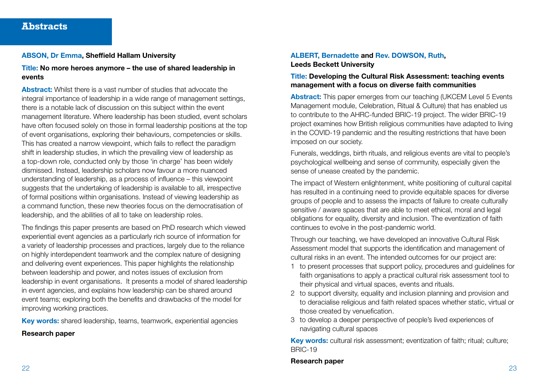#### ABSON, Dr Emma, Sheffield Hallam University

Title: No more heroes anymore – the use of shared leadership in events

Abstract: Whilst there is a vast number of studies that advocate the integral importance of leadership in a wide range of management settings, there is a notable lack of discussion on this subject within the event management literature. Where leadership has been studied, event scholars have often focused solely on those in formal leadership positions at the top of event organisations, exploring their behaviours, competencies or skills. This has created a narrow viewpoint, which fails to reflect the paradigm shift in leadership studies, in which the prevailing view of leadership as a top-down role, conducted only by those 'in charge' has been widely dismissed. Instead, leadership scholars now favour a more nuanced understanding of leadership, as a process of influence – this viewpoint suggests that the undertaking of leadership is available to all, irrespective of formal positions within organisations. Instead of viewing leadership as a command function, these new theories focus on the democratisation of leadership, and the abilities of all to take on leadership roles.

The findings this paper presents are based on PhD research which viewed experiential event agencies as a particularly rich source of information for a variety of leadership processes and practices, largely due to the reliance on highly interdependent teamwork and the complex nature of designing and delivering event experiences. This paper highlights the relationship between leadership and power, and notes issues of exclusion from leadership in event organisations. It presents a model of shared leadership in event agencies, and explains how leadership can be shared around event teams; exploring both the benefits and drawbacks of the model for improving working practices.

Key words: shared leadership, teams, teamwork, experiential agencies

## Research paper

## ALBERT, Bernadette and Rev. DOWSON, Ruth, Leeds Beckett University

#### Title: Developing the Cultural Risk Assessment: teaching events management with a focus on diverse faith communities

Abstract: This paper emerges from our teaching (UKCEM Level 5 Events Management module, Celebration, Ritual & Culture) that has enabled us to contribute to the AHRC-funded BRIC-19 project. The wider BRIC-19 project examines how British religious communities have adapted to living in the COVID-19 pandemic and the resulting restrictions that have been imposed on our society.

Funerals, weddings, birth rituals, and religious events are vital to people's psychological wellbeing and sense of community, especially given the sense of unease created by the pandemic.

The impact of Western enlightenment, white positioning of cultural capital has resulted in a continuing need to provide equitable spaces for diverse groups of people and to assess the impacts of failure to create culturally sensitive / aware spaces that are able to meet ethical, moral and legal obligations for equality, diversity and inclusion. The eventization of faith continues to evolve in the post-pandemic world.

Through our teaching, we have developed an innovative Cultural Risk Assessment model that supports the identification and management of cultural risks in an event. The intended outcomes for our project are:

- 1 to present processes that support policy, procedures and guidelines for faith organisations to apply a practical cultural risk assessment tool to their physical and virtual spaces, events and rituals.
- 2 to support diversity, equality and inclusion planning and provision and to deracialise religious and faith related spaces whether static, virtual or those created by venuefication.
- 3 to develop a deeper perspective of people's lived experiences of navigating cultural spaces

Key words: cultural risk assessment; eventization of faith; ritual; culture; BRIC-19

#### Research paper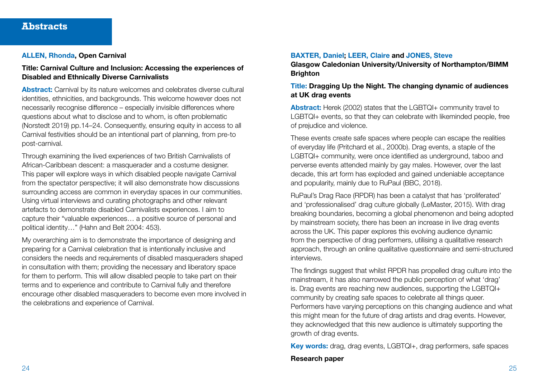#### ALLEN, Rhonda, Open Carnival

#### Title: Carnival Culture and Inclusion: Accessing the experiences of Disabled and Ethnically Diverse Carnivalists

Abstract: Carnival by its nature welcomes and celebrates diverse cultural identities, ethnicities, and backgrounds. This welcome however does not necessarily recognise difference – especially invisible differences where questions about what to disclose and to whom, is often problematic (Norstedt 2019) pp.14–24. Consequently, ensuring equity in access to all Carnival festivities should be an intentional part of planning, from pre-to post-carnival.

Through examining the lived experiences of two British Carnivalists of African-Caribbean descent: a masquerader and a costume designer. This paper will explore ways in which disabled people navigate Carnival from the spectator perspective; it will also demonstrate how discussions surrounding access are common in everyday spaces in our communities. Using virtual interviews and curating photographs and other relevant artefacts to demonstrate disabled Carnivalists experiences. I aim to capture their "valuable experiences… a positive source of personal and political identity…" (Hahn and Belt 2004: 453).

My overarching aim is to demonstrate the importance of designing and preparing for a Carnival celebration that is intentionally inclusive and considers the needs and requirements of disabled masqueraders shaped in consultation with them; providing the necessary and liberatory space for them to perform. This will allow disabled people to take part on their terms and to experience and contribute to Carnival fully and therefore encourage other disabled masqueraders to become even more involved in the celebrations and experience of Carnival.

#### BAXTER, Daniel; LEER, Claire and JONES, Steve

Glasgow Caledonian University/University of Northampton/BIMM **Brighton** 

#### Title: Dragging Up the Night. The changing dynamic of audiences at UK drag events

Abstract: Herek (2002) states that the LGBTQI+ community travel to LGBTQI+ events, so that they can celebrate with likeminded people, free of prejudice and violence.

These events create safe spaces where people can escape the realities of everyday life (Pritchard et al., 2000b). Drag events, a staple of the LGBTQI+ community, were once identified as underground, taboo and perverse events attended mainly by gay males. However, over the last decade, this art form has exploded and gained undeniable acceptance and popularity, mainly due to RuPaul (BBC, 2018).

RuPaul's Drag Race (RPDR) has been a catalyst that has 'proliferated' and 'professionalised' drag culture globally (LeMaster, 2015). With drag breaking boundaries, becoming a global phenomenon and being adopted by mainstream society, there has been an increase in live drag events across the UK. This paper explores this evolving audience dynamic from the perspective of drag performers, utilising a qualitative research approach, through an online qualitative questionnaire and semi-structured interviews.

The findings suggest that whilst RPDR has propelled drag culture into the mainstream, it has also narrowed the public perception of what 'drag' is. Drag events are reaching new audiences, supporting the LGBTQI+ community by creating safe spaces to celebrate all things queer. Performers have varying perceptions on this changing audience and what this might mean for the future of drag artists and drag events. However, they acknowledged that this new audience is ultimately supporting the growth of drag events.

Key words: drag, drag events, LGBTQI+, drag performers, safe spaces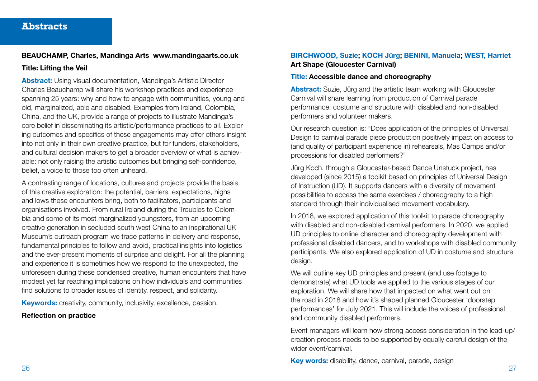#### BEAUCHAMP, Charles, Mandinga Arts www.mandingaarts.co.uk

#### Title: Lifting the Veil

Abstract: Using visual documentation, Mandinga's Artistic Director Charles Beauchamp will share his workshop practices and experience spanning 25 years: why and how to engage with communities, young and old, marginalized, able and disabled. Examples from Ireland, Colombia, China, and the UK, provide a range of projects to illustrate Mandinga's core belief in disseminating its artistic/performance practices to all. Exploring outcomes and specifics of these engagements may offer others insight into not only in their own creative practice, but for funders, stakeholders, and cultural decision makers to get a broader overview of what is achievable: not only raising the artistic outcomes but bringing self-confidence, belief, a voice to those too often unheard.

A contrasting range of locations, cultures and projects provide the basis of this creative exploration: the potential, barriers, expectations, highs and lows these encounters bring, both to facilitators, participants and organisations involved. From rural Ireland during the Troubles to Colombia and some of its most marginalized youngsters, from an upcoming creative generation in secluded south west China to an inspirational UK Museum's outreach program we trace patterns in delivery and response, fundamental principles to follow and avoid, practical insights into logistics and the ever-present moments of surprise and delight. For all the planning and experience it is sometimes how we respond to the unexpected, the unforeseen during these condensed creative, human encounters that have modest yet far reaching implications on how individuals and communities find solutions to broader issues of identity, respect, and solidarity.

**Keywords:** creativity, community, inclusivity, excellence, passion.

#### Reflection on practice

### BIRCHWOOD, Suzie; KOCH Jürg; BENINI, Manuela; WEST, Harriet Art Shape (Gloucester Carnival)

#### Title: Accessible dance and choreography

Abstract: Suzie, Jürg and the artistic team working with Gloucester Carnival will share learning from production of Carnival parade performance, costume and structure with disabled and non-disabled performers and volunteer makers.

Our research question is: "Does application of the principles of Universal Design to carnival parade piece production positively impact on access to (and quality of participant experience in) rehearsals, Mas Camps and/or processions for disabled performers?"

Jürg Koch, through a Gloucester-based Dance Unstuck project, has developed (since 2015) a toolkit based on principles of Universal Design of Instruction (UD). It supports dancers with a diversity of movement possibilities to access the same exercises / choreography to a high standard through their individualised movement vocabulary.

In 2018, we explored application of this toolkit to parade choreography with disabled and non-disabled carnival performers. In 2020, we applied UD principles to online character and choreography development with professional disabled dancers, and to workshops with disabled community participants. We also explored application of UD in costume and structure desian.

We will outline key UD principles and present (and use footage to demonstrate) what UD tools we applied to the various stages of our exploration. We will share how that impacted on what went out on the road in 2018 and how it's shaped planned Gloucester 'doorstep performances' for July 2021. This will include the voices of professional and community disabled performers.

Event managers will learn how strong access consideration in the lead-up/ creation process needs to be supported by equally careful design of the wider event/carnival.

Key words: disability, dance, carnival, parade, design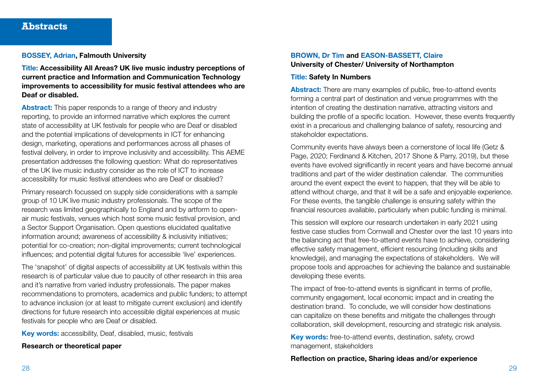#### BOSSEY, Adrian, Falmouth University

Title: Accessibility All Areas? UK live music industry perceptions of current practice and Information and Communication Technology improvements to accessibility for music festival attendees who are Deaf or disabled.

Abstract: This paper responds to a range of theory and industry reporting, to provide an informed narrative which explores the current state of accessibility at UK festivals for people who are Deaf or disabled and the potential implications of developments in ICT for enhancing design, marketing, operations and performances across all phases of festival delivery, in order to improve inclusivity and accessibility. This AEME presentation addresses the following question: What do representatives of the UK live music industry consider as the role of ICT to increase accessibility for music festival attendees who are Deaf or disabled?

Primary research focussed on supply side considerations with a sample group of 10 UK live music industry professionals. The scope of the research was limited geographically to England and by artform to openair music festivals, venues which host some music festival provision, and a Sector Support Organisation. Open questions elucidated qualitative information around; awareness of accessibility & inclusivity initiatives; potential for co-creation; non-digital improvements; current technological influences; and potential digital futures for accessible 'live' experiences.

The 'snapshot' of digital aspects of accessibility at UK festivals within this research is of particular value due to paucity of other research in this area and it's narrative from varied industry professionals. The paper makes recommendations to promoters, academics and public funders; to attempt to advance inclusion (or at least to mitigate current exclusion) and identify directions for future research into accessible digital experiences at music festivals for people who are Deaf or disabled.

Key words: accessibility, Deaf, disabled, music, festivals

#### Research or theoretical paper

#### BROWN, Dr Tim and EASON-BASSETT, Claire University of Chester/ University of Northampton

#### Title: Safety In Numbers

Abstract: There are many examples of public, free-to-attend events forming a central part of destination and venue programmes with the intention of creating the destination narrative, attracting visitors and building the profile of a specific location. However, these events frequently exist in a precarious and challenging balance of safety, resourcing and stakeholder expectations.

Community events have always been a cornerstone of local life (Getz & Page, 2020; Ferdinand & Kitchen, 2017 Shone & Parry, 2019), but these events have evolved significantly in recent years and have become annual traditions and part of the wider destination calendar. The communities around the event expect the event to happen, that they will be able to attend without charge, and that it will be a safe and enjoyable experience. For these events, the tangible challenge is ensuring safety within the financial resources available, particularly when public funding is minimal.

This session will explore our research undertaken in early 2021 using festive case studies from Cornwall and Chester over the last 10 years into the balancing act that free-to-attend events have to achieve, considering effective safety management, efficient resourcing (including skills and knowledge), and managing the expectations of stakeholders. We will propose tools and approaches for achieving the balance and sustainable developing these events.

The impact of free-to-attend events is significant in terms of profile, community engagement, local economic impact and in creating the destination brand. To conclude, we will consider how destinations can capitalize on these benefits and mitigate the challenges through collaboration, skill development, resourcing and strategic risk analysis.

Key words: free-to-attend events, destination, safety, crowd management, stakeholders

#### Reflection on practice, Sharing ideas and/or experience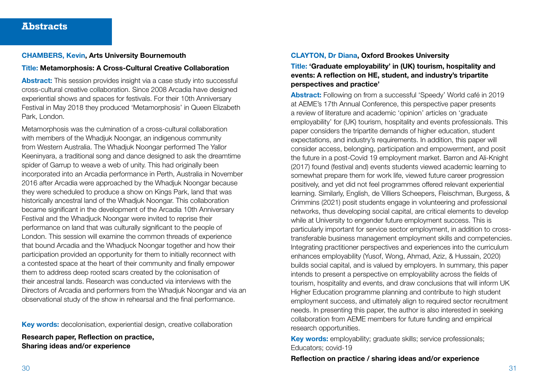#### CHAMBERS, Kevin, Arts University Bournemouth

#### Title: Metamorphosis: A Cross-Cultural Creative Collaboration

Abstract: This session provides insight via a case study into successful cross-cultural creative collaboration. Since 2008 Arcadia have designed experiential shows and spaces for festivals. For their 10th Anniversary Festival in May 2018 they produced 'Metamorphosis' in Queen Elizabeth Park, London.

Metamorphosis was the culmination of a cross-cultural collaboration with members of the Whadjuk Noongar, an indigenous community from Western Australia. The Whadjuk Noongar performed The Yallor Keeninyara, a traditional song and dance designed to ask the dreamtime spider of Garrup to weave a web of unity. This had originally been incorporated into an Arcadia performance in Perth, Australia in November 2016 after Arcadia were approached by the Whadjuk Noongar because they were scheduled to produce a show on Kings Park, land that was historically ancestral land of the Whadjuk Noongar. This collaboration became significant in the development of the Arcadia 10th Anniversary Festival and the Whadjuck Noongar were invited to reprise their performance on land that was culturally significant to the people of London. This session will examine the common threads of experience that bound Arcadia and the Whadjuck Noongar together and how their participation provided an opportunity for them to initially reconnect with a contested space at the heart of their community and finally empower them to address deep rooted scars created by the colonisation of their ancestral lands. Research was conducted via interviews with the Directors of Arcadia and performers from the Whadjuk Noongar and via an observational study of the show in rehearsal and the final performance.

Key words: decolonisation, experiential design, creative collaboration

Research paper, Reflection on practice, Sharing ideas and/or experience

#### CLAYTON, Dr Diana, Oxford Brookes University

Title: 'Graduate employability' in (UK) tourism, hospitality and events: A reflection on HE, student, and industry's tripartite perspectives and practice'

Abstract: Following on from a successful 'Speedy' World café in 2019 at AEME's 17th Annual Conference, this perspective paper presents a review of literature and academic 'opinion' articles on 'graduate employability' for (UK) tourism, hospitality and events professionals. This paper considers the tripartite demands of higher education, student expectations, and industry's requirements. In addition, this paper will consider access, belonging, participation and empowerment, and posit the future in a post-Covid 19 employment market. Barron and Ali-Knight (2017) found (festival and) events students viewed academic learning to somewhat prepare them for work life, viewed future career progression positively, and yet did not feel programmes offered relevant experiential learning. Similarly, English, de Villiers Scheepers, Fleischman, Burgess, & Crimmins (2021) posit students engage in volunteering and professional networks, thus developing social capital, are critical elements to develop while at University to engender future employment success. This is particularly important for service sector employment, in addition to crosstransferable business management employment skills and competencies. Integrating practitioner perspectives and experiences into the curriculum enhances employability (Yusof, Wong, Ahmad, Aziz, & Hussain, 2020) builds social capital, and is valued by employers. In summary, this paper intends to present a perspective on employability across the fields of tourism, hospitality and events, and draw conclusions that will inform UK Higher Education programme planning and contribute to high student employment success, and ultimately align to required sector recruitment needs. In presenting this paper, the author is also interested in seeking collaboration from AEME members for future funding and empirical research opportunities.

Key words: employability; graduate skills; service professionals; Educators; covid-19

Reflection on practice / sharing ideas and/or experience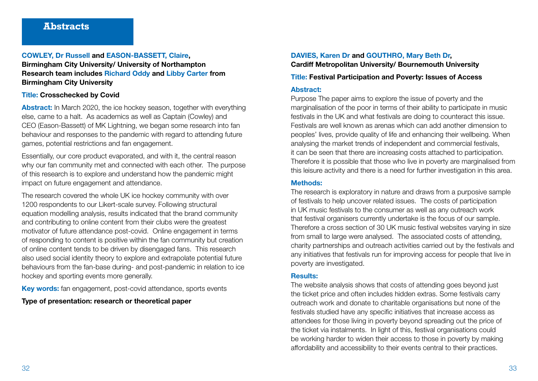#### COWLEY, Dr Russell and EASON-BASSETT, Claire, Birmingham City University/ University of Northampton Research team includes Richard Oddy and Libby Carter from Birmingham City University

#### Title: Crosschecked by Covid

Abstract: In March 2020, the ice hockey season, together with everything else, came to a halt. As academics as well as Captain (Cowley) and CEO (Eason-Bassett) of MK Lightning, we began some research into fan behaviour and responses to the pandemic with regard to attending future games, potential restrictions and fan engagement.

Essentially, our core product evaporated, and with it, the central reason why our fan community met and connected with each other. The purpose of this research is to explore and understand how the pandemic might impact on future engagement and attendance.

The research covered the whole UK ice hockey community with over 1200 respondents to our Likert-scale survey. Following structural equation modelling analysis, results indicated that the brand community and contributing to online content from their clubs were the greatest motivator of future attendance post-covid. Online engagement in terms of responding to content is positive within the fan community but creation of online content tends to be driven by disengaged fans. This research also used social identity theory to explore and extrapolate potential future behaviours from the fan-base during- and post-pandemic in relation to ice hockey and sporting events more generally.

Key words: fan engagement, post-covid attendance, sports events

Type of presentation: research or theoretical paper

# DAVIES, Karen Dr and GOUTHRO, Mary Beth Dr, Cardiff Metropolitan University/ Bournemouth University

#### Title: Festival Participation and Poverty: Issues of Access

#### Abstract:

Purpose The paper aims to explore the issue of poverty and the marginalisation of the poor in terms of their ability to participate in music festivals in the UK and what festivals are doing to counteract this issue. Festivals are well known as arenas which can add another dimension to peoples' lives, provide quality of life and enhancing their wellbeing. When analysing the market trends of independent and commercial festivals, it can be seen that there are increasing costs attached to participation. Therefore it is possible that those who live in poverty are marginalised from this leisure activity and there is a need for further investigation in this area.

#### Methods:

The research is exploratory in nature and draws from a purposive sample of festivals to help uncover related issues. The costs of participation in UK music festivals to the consumer as well as any outreach work that festival organisers currently undertake is the focus of our sample. Therefore a cross section of 30 UK music festival websites varying in size from small to large were analysed. The associated costs of attending, charity partnerships and outreach activities carried out by the festivals and any initiatives that festivals run for improving access for people that live in poverty are investigated.

#### Results:

The website analysis shows that costs of attending goes beyond just the ticket price and often includes hidden extras. Some festivals carry outreach work and donate to charitable organisations but none of the festivals studied have any specific initiatives that increase access as attendees for those living in poverty beyond spreading out the price of the ticket via instalments. In light of this, festival organisations could be working harder to widen their access to those in poverty by making affordability and accessibility to their events central to their practices.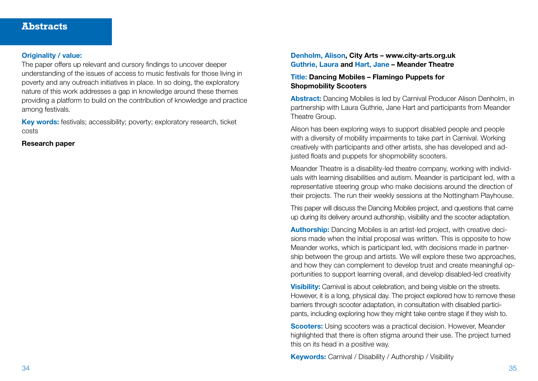#### Originality / value:

The paper offers up relevant and cursory findings to uncover deeper understanding of the issues of access to music festivals for those living in poverty and any outreach initiatives in place. In so doing, the exploratory nature of this work addresses a gap in knowledge around these themes providing a platform to build on the contribution of knowledge and practice among festivals.

Key words: festivals; accessibility; poverty; exploratory research, ticket costs

#### Research paper

#### Denholm, Alison, City Arts – www.city-arts.org.uk Guthrie, Laura and Hart, Jane – Meander Theatre

#### Title: Dancing Mobiles – Flamingo Puppets for Shopmobility Scooters

Abstract: Dancing Mobiles is led by Carnival Producer Alison Denholm, in partnership with Laura Guthrie, Jane Hart and participants from Meander Theatre Group.

Alison has been exploring ways to support disabled people and people with a diversity of mobility impairments to take part in Carnival. Working creatively with participants and other artists, she has developed and adjusted floats and puppets for shopmobility scooters.

Meander Theatre is a disability-led theatre company, working with individuals with learning disabilities and autism. Meander is participant led, with a representative steering group who make decisions around the direction of their projects. The run their weekly sessions at the Nottingham Playhouse.

This paper will discuss the Dancing Mobiles project, and questions that came up during its delivery around authorship, visibility and the scooter adaptation.

Authorship: Dancing Mobiles is an artist-led project, with creative decisions made when the initial proposal was written. This is opposite to how Meander works, which is participant led, with decisions made in partnership between the group and artists. We will explore these two approaches, and how they can complement to develop trust and create meaningful opportunities to support learning overall, and develop disabled-led creativity

**Visibility:** Carnival is about celebration, and being visible on the streets. However, it is a long, physical day. The project explored how to remove these barriers through scooter adaptation, in consultation with disabled participants, including exploring how they might take centre stage if they wish to.

**Scooters:** Using scooters was a practical decision. However, Meander highlighted that there is often stigma around their use. The project turned this on its head in a positive way.

Keywords: Carnival / Disability / Authorship / Visibility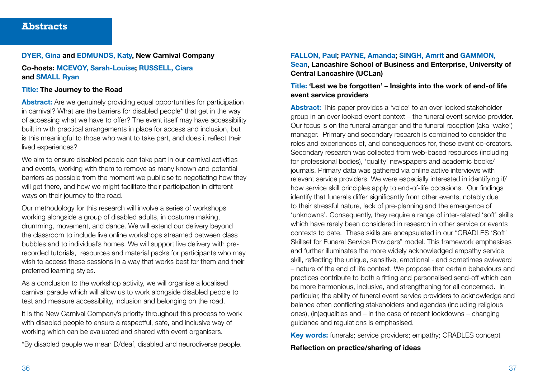#### DYER, Gina and EDMUNDS, Katy, New Carnival Company

Co-hosts: MCEVOY, Sarah-Louise; RUSSELL, Ciara and SMALL Ryan

#### Title: The Journey to the Road

Abstract: Are we genuinely providing equal opportunities for participation in carnival? What are the barriers for disabled people\* that get in the way of accessing what we have to offer? The event itself may have accessibility built in with practical arrangements in place for access and inclusion, but is this meaningful to those who want to take part, and does it reflect their lived experiences?

We aim to ensure disabled people can take part in our carnival activities and events, working with them to remove as many known and potential barriers as possible from the moment we publicise to negotiating how they will get there, and how we might facilitate their participation in different ways on their journey to the road.

Our methodology for this research will involve a series of workshops working alongside a group of disabled adults, in costume making, drumming, movement, and dance. We will extend our delivery beyond the classroom to include live online workshops streamed between class bubbles and to individual's homes. We will support live delivery with prerecorded tutorials, resources and material packs for participants who may wish to access these sessions in a way that works best for them and their preferred learning styles.

As a conclusion to the workshop activity, we will organise a localised carnival parade which will allow us to work alongside disabled people to test and measure accessibility, inclusion and belonging on the road.

It is the New Carnival Company's priority throughout this process to work with disabled people to ensure a respectful, safe, and inclusive way of working which can be evaluated and shared with event organisers.

\*By disabled people we mean D/deaf, disabled and neurodiverse people.

#### FALLON, Paul; PAYNE, Amanda; SINGH, Amrit and GAMMON,

Sean, Lancashire School of Business and Enterprise, University of Central Lancashire (UCLan)

#### Title: 'Lest we be forgotten' – Insights into the work of end-of life event service providers

Abstract: This paper provides a 'voice' to an over-looked stakeholder group in an over-looked event context – the funeral event service provider. Our focus is on the funeral arranger and the funeral reception (aka 'wake') manager. Primary and secondary research is combined to consider the roles and experiences of, and consequences for, these event co-creators. Secondary research was collected from web-based resources (including for professional bodies), 'quality' newspapers and academic books/ journals. Primary data was gathered via online active interviews with relevant service providers. We were especially interested in identifying if/ how service skill principles apply to end-of-life occasions. Our findings identify that funerals differ significantly from other events, notably due to their stressful nature, lack of pre-planning and the emergence of 'unknowns'. Consequently, they require a range of inter-related 'soft' skills which have rarely been considered in research in other service or events contexts to date. These skills are encapsulated in our "CRADLES 'Soft' Skillset for Funeral Service Providers" model. This framework emphasises and further illuminates the more widely acknowledged empathy service skill, reflecting the unique, sensitive, emotional - and sometimes awkward – nature of the end of life context. We propose that certain behaviours and practices contribute to both a fitting and personalised send-off which can be more harmonious, inclusive, and strengthening for all concerned. In particular, the ability of funeral event service providers to acknowledge and balance often conflicting stakeholders and agendas (including religious ones), (in)equalities and – in the case of recent lockdowns – changing guidance and regulations is emphasised.

Key words: funerals; service providers; empathy; CRADLES concept

Reflection on practice/sharing of ideas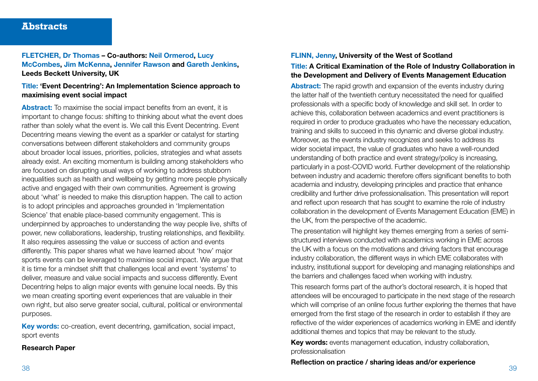FLETCHER, Dr Thomas – Co-authors: Neil Ormerod, Lucy McCombes, Jim McKenna, Jennifer Rawson and Gareth Jenkins, Leeds Beckett University, UK

#### Title: 'Event Decentring': An Implementation Science approach to maximising event social impact

Abstract: To maximise the social impact benefits from an event, it is important to change focus: shifting to thinking about what the event does rather than solely what the event is. We call this Event Decentring. Event Decentring means viewing the event as a sparkler or catalyst for starting conversations between different stakeholders and community groups about broader local issues, priorities, policies, strategies and what assets already exist. An exciting momentum is building among stakeholders who are focused on disrupting usual ways of working to address stubborn inequalities such as health and wellbeing by getting more people physically active and engaged with their own communities. Agreement is growing about 'what' is needed to make this disruption happen. The call to action is to adopt principles and approaches grounded in 'Implementation Science' that enable place-based community engagement. This is underpinned by approaches to understanding the way people live, shifts of power, new collaborations, leadership, trusting relationships, and flexibility. It also requires assessing the value or success of action and events differently. This paper shares what we have learned about 'how' major sports events can be leveraged to maximise social impact. We argue that it is time for a mindset shift that challenges local and event 'systems' to deliver, measure and value social impacts and success differently. Event Decentring helps to align major events with genuine local needs. By this we mean creating sporting event experiences that are valuable in their own right, but also serve greater social, cultural, political or environmental purposes.

Key words: co-creation, event decentring, gamification, social impact, sport events

#### Research Paper

#### FLINN, Jenny, University of the West of Scotland

#### Title: A Critical Examination of the Role of Industry Collaboration in the Development and Delivery of Events Management Education

Abstract: The rapid growth and expansion of the events industry during the latter half of the twentieth century necessitated the need for qualified professionals with a specific body of knowledge and skill set. In order to achieve this, collaboration between academics and event practitioners is required in order to produce graduates who have the necessary education, training and skills to succeed in this dynamic and diverse global industry. Moreover, as the events industry recognizes and seeks to address its wider societal impact, the value of graduates who have a well-rounded understanding of both practice and event strategy/policy is increasing, particularly in a post-COVID world. Further development of the relationship between industry and academic therefore offers significant benefits to both academia and industry, developing principles and practice that enhance credibility and further drive professionalisation. This presentation will report and reflect upon research that has sought to examine the role of industry collaboration in the development of Events Management Education (EME) in the UK, from the perspective of the academic.

The presentation will highlight key themes emerging from a series of semistructured interviews conducted with academics working in EME across the UK with a focus on the motivations and driving factors that encourage industry collaboration, the different ways in which EME collaborates with industry, institutional support for developing and managing relationships and the barriers and challenges faced when working with industry.

This research forms part of the author's doctoral research, it is hoped that attendees will be encouraged to participate in the next stage of the research which will comprise of an online focus further exploring the themes that have emerged from the first stage of the research in order to establish if they are reflective of the wider experiences of academics working in EME and identify additional themes and topics that may be relevant to the study.

Key words: events management education, industry collaboration, professionalisation

38 39 Reflection on practice / sharing ideas and/or experience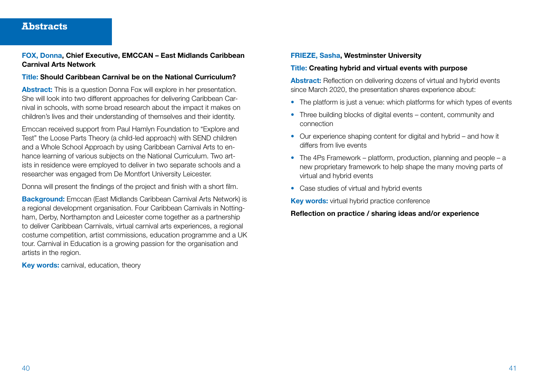#### FOX, Donna, Chief Executive, EMCCAN – East Midlands Caribbean Carnival Arts Network

#### Title: Should Caribbean Carnival be on the National Curriculum?

Abstract: This is a question Donna Fox will explore in her presentation. She will look into two different approaches for delivering Caribbean Carnival in schools, with some broad research about the impact it makes on children's lives and their understanding of themselves and their identity.

Emccan received support from Paul Hamlyn Foundation to "Explore and Test" the Loose Parts Theory (a child-led approach) with SEND children and a Whole School Approach by using Caribbean Carnival Arts to enhance learning of various subjects on the National Curriculum. Two artists in residence were employed to deliver in two separate schools and a researcher was engaged from De Montfort University Leicester.

Donna will present the findings of the project and finish with a short film.

**Background:** Emccan (East Midlands Caribbean Carnival Arts Network) is a regional development organisation. Four Caribbean Carnivals in Nottingham, Derby, Northampton and Leicester come together as a partnership to deliver Caribbean Carnivals, virtual carnival arts experiences, a regional costume competition, artist commissions, education programme and a UK tour. Carnival in Education is a growing passion for the organisation and artists in the region.

Key words: carnival, education, theory

#### FRIEZE, Sasha, Westminster University

#### Title: Creating hybrid and virtual events with purpose

Abstract: Reflection on delivering dozens of virtual and hybrid events since March 2020, the presentation shares experience about:

- The platform is just a venue: which platforms for which types of events
- Three building blocks of digital events content, community and connection
- Our experience shaping content for digital and hybrid and how it differs from live events
- The 4Ps Framework platform, production, planning and people a new proprietary framework to help shape the many moving parts of virtual and hybrid events
- Case studies of virtual and hybrid events

Key words: virtual hybrid practice conference

Reflection on practice / sharing ideas and/or experience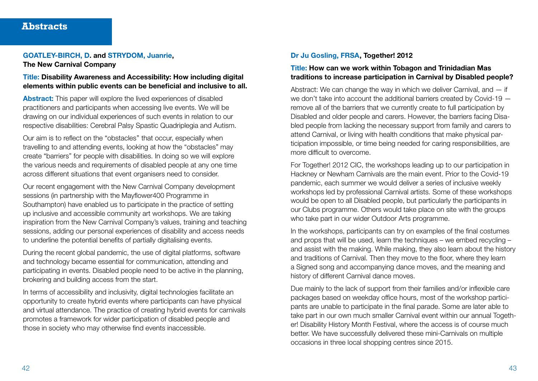#### GOATLEY-BIRCH, D. and STRYDOM, Juanrie, The New Carnival Company

Title: Disability Awareness and Accessibility: How including digital elements within public events can be beneficial and inclusive to all.

Abstract: This paper will explore the lived experiences of disabled practitioners and participants when accessing live events. We will be drawing on our individual experiences of such events in relation to our respective disabilities: Cerebral Palsy Spastic Quadriplegia and Autism.

Our aim is to reflect on the "obstacles'' that occur, especially when travelling to and attending events, looking at how the "obstacles" may create "barriers" for people with disabilities. In doing so we will explore the various needs and requirements of disabled people at any one time across different situations that event organisers need to consider.

Our recent engagement with the New Carnival Company development sessions (in partnership with the Mayflower400 Programme in Southampton) have enabled us to participate in the practice of setting up inclusive and accessible community art workshops. We are taking inspiration from the New Carnival Company's values, training and teaching sessions, adding our personal experiences of disability and access needs to underline the potential benefits of partially digitalising events.

During the recent global pandemic, the use of digital platforms, software and technology became essential for communication, attending and participating in events. Disabled people need to be active in the planning, brokering and building access from the start.

In terms of accessibility and inclusivity, digital technologies facilitate an opportunity to create hybrid events where participants can have physical and virtual attendance. The practice of creating hybrid events for carnivals promotes a framework for wider participation of disabled people and those in society who may otherwise find events inaccessible.

#### Dr Ju Gosling, FRSA, Together! 2012

#### Title: How can we work within Tobagon and Trinidadian Mas traditions to increase participation in Carnival by Disabled people?

Abstract: We can change the way in which we deliver Carnival, and  $-$  if we don't take into account the additional barriers created by Covid-19 remove all of the barriers that we currently create to full participation by Disabled and older people and carers. However, the barriers facing Disabled people from lacking the necessary support from family and carers to attend Carnival, or living with health conditions that make physical participation impossible, or time being needed for caring responsibilities, are more difficult to overcome.

For Together! 2012 CIC, the workshops leading up to our participation in Hackney or Newham Carnivals are the main event. Prior to the Covid-19 pandemic, each summer we would deliver a series of inclusive weekly workshops led by professional Carnival artists. Some of these workshops would be open to all Disabled people, but particularly the participants in our Clubs programme. Others would take place on site with the groups who take part in our wider Outdoor Arts programme.

In the workshops, participants can try on examples of the final costumes and props that will be used, learn the techniques – we embed recycling  $$ and assist with the making. While making, they also learn about the history and traditions of Carnival. Then they move to the floor, where they learn a Signed song and accompanying dance moves, and the meaning and history of different Carnival dance moves.

Due mainly to the lack of support from their families and/or inflexible care packages based on weekday office hours, most of the workshop participants are unable to participate in the final parade. Some are later able to take part in our own much smaller Carnival event within our annual Together! Disability History Month Festival, where the access is of course much better. We have successfully delivered these mini-Carnivals on multiple occasions in three local shopping centres since 2015.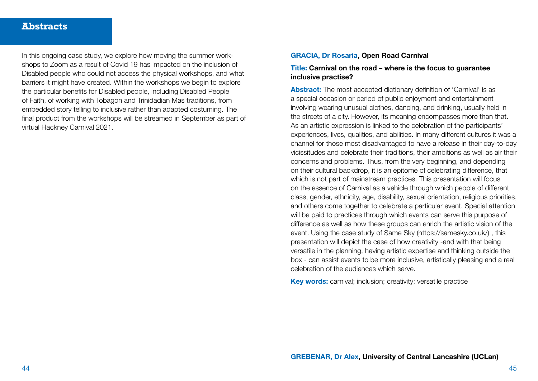In this ongoing case study, we explore how moving the summer workshops to Zoom as a result of Covid 19 has impacted on the inclusion of Disabled people who could not access the physical workshops, and what barriers it might have created. Within the workshops we begin to explore the particular benefits for Disabled people, including Disabled People of Faith, of working with Tobagon and Trinidadian Mas traditions, from embedded story telling to inclusive rather than adapted costuming. The final product from the workshops will be streamed in September as part of virtual Hackney Carnival 2021.

#### GRACIA, Dr Rosaria, Open Road Carnival

#### Title: Carnival on the road – where is the focus to guarantee inclusive practise?

Abstract: The most accepted dictionary definition of 'Carnival' is as a special occasion or period of public enjoyment and entertainment involving wearing unusual clothes, dancing, and drinking, usually held in the streets of a city. However, its meaning encompasses more than that. As an artistic expression is linked to the celebration of the participants' experiences, lives, qualities, and abilities. In many different cultures it was a channel for those most disadvantaged to have a release in their day-to-day vicissitudes and celebrate their traditions, their ambitions as well as air their concerns and problems. Thus, from the very beginning, and depending on their cultural backdrop, it is an epitome of celebrating difference, that which is not part of mainstream practices. This presentation will focus on the essence of Carnival as a vehicle through which people of different class, gender, ethnicity, age, disability, sexual orientation, religious priorities, and others come together to celebrate a particular event. Special attention will be paid to practices through which events can serve this purpose of difference as well as how these groups can enrich the artistic vision of the event. Using the case study of Same Sky (https://samesky.co.uk/), this presentation will depict the case of how creativity -and with that being versatile in the planning, having artistic expertise and thinking outside the box - can assist events to be more inclusive, artistically pleasing and a real celebration of the audiences which serve.

Key words: carnival; inclusion; creativity; versatile practice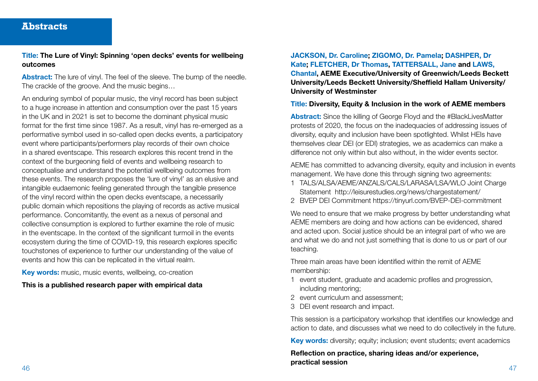#### Title: The Lure of Vinyl: Spinning 'open decks' events for wellbeing outcomes

Abstract: The lure of vinyl. The feel of the sleeve. The bump of the needle. The crackle of the groove. And the music begins…

An enduring symbol of popular music, the vinyl record has been subject to a huge increase in attention and consumption over the past 15 years in the UK and in 2021 is set to become the dominant physical music format for the first time since 1987. As a result, vinyl has re-emerged as a performative symbol used in so-called open decks events, a participatory event where participants/performers play records of their own choice in a shared eventscape. This research explores this recent trend in the context of the burgeoning field of events and wellbeing research to conceptualise and understand the potential wellbeing outcomes from these events. The research proposes the 'lure of vinyl' as an elusive and intangible eudaemonic feeling generated through the tangible presence of the vinyl record within the open decks eventscape, a necessarily public domain which repositions the playing of records as active musical performance. Concomitantly, the event as a nexus of personal and collective consumption is explored to further examine the role of music in the eventscape. In the context of the significant turmoil in the events ecosystem during the time of COVID-19, this research explores specific touchstones of experience to further our understanding of the value of events and how this can be replicated in the virtual realm.

Key words: music, music events, wellbeing, co-creation

This is a published research paper with empirical data

## JACKSON, Dr. Caroline; ZIGOMO, Dr. Pamela; DASHPER, Dr Kate; FLETCHER, Dr Thomas, TATTERSALL, Jane and LAWS, Chantal, AEME Executive/University of Greenwich/Leeds Beckett University/Leeds Beckett University/Sheffield Hallam University/ University of Westminster

#### Title: Diversity, Equity & Inclusion in the work of AEME members

Abstract: Since the killing of George Floyd and the #BlackLivesMatter protests of 2020, the focus on the inadequacies of addressing issues of diversity, equity and inclusion have been spotlighted. Whilst HEIs have themselves clear DEI (or EDI) strategies, we as academics can make a difference not only within but also without, in the wider events sector.

AEME has committed to advancing diversity, equity and inclusion in events management. We have done this through signing two agreements:

- 1 TALS/ALSA/AEME/ANZALS/CALS/LARASA/LSA/WLO Joint Charge Statement http://leisurestudies.org/news/chargestatement/
- 2 BVEP DEI Commitment https://tinyurl.com/BVEP-DEI-commitment

We need to ensure that we make progress by better understanding what AEME members are doing and how actions can be evidenced, shared and acted upon. Social justice should be an integral part of who we are and what we do and not just something that is done to us or part of our teaching.

Three main areas have been identified within the remit of AEME membership:

- 1 event student, graduate and academic profiles and progression, including mentoring;
- 2 event curriculum and assessment;
- 3 DEI event research and impact.

This session is a participatory workshop that identifies our knowledge and action to date, and discusses what we need to do collectively in the future.

Key words: diversity: equity: inclusion: event students: event academics

46 47 Reflection on practice, sharing ideas and/or experience, practical session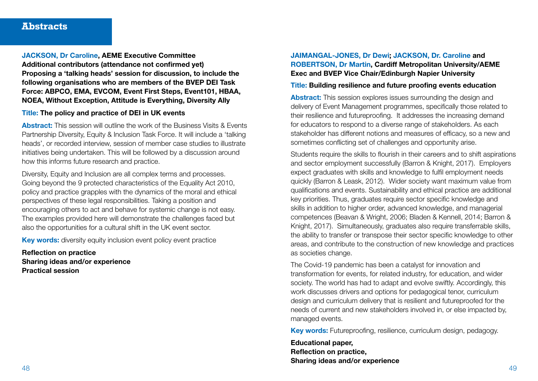JACKSON, Dr Caroline, AEME Executive Committee Additional contributors (attendance not confirmed yet) Proposing a 'talking heads' session for discussion, to include the following organisations who are members of the BVEP DEI Task Force: ABPCO, EMA, EVCOM, Event First Steps, Event101, HBAA, NOEA, Without Exception, Attitude is Everything, Diversity Ally

#### Title: The policy and practice of DEI in UK events

Abstract: This session will outline the work of the Business Visits & Events Partnership Diversity, Equity & Inclusion Task Force. It will include a 'talking heads', or recorded interview, session of member case studies to illustrate initiatives being undertaken. This will be followed by a discussion around how this informs future research and practice.

Diversity, Equity and Inclusion are all complex terms and processes. Going beyond the 9 protected characteristics of the Equality Act 2010, policy and practice grapples with the dynamics of the moral and ethical perspectives of these legal responsibilities. Taking a position and encouraging others to act and behave for systemic change is not easy. The examples provided here will demonstrate the challenges faced but also the opportunities for a cultural shift in the UK event sector.

Key words: diversity equity inclusion event policy event practice

Reflection on practice Sharing ideas and/or experience Practical session

#### JAIMANGAL-JONES, Dr Dewi; JACKSON, Dr. Caroline and ROBERTSON, Dr Martin, Cardiff Metropolitan University/AEME Exec and BVEP Vice Chair/Edinburgh Napier University

#### Title: Building resilience and future proofing events education

Abstract: This session explores issues surrounding the design and delivery of Event Management programmes, specifically those related to their resilience and futureproofing. It addresses the increasing demand for educators to respond to a diverse range of stakeholders. As each stakeholder has different notions and measures of efficacy, so a new and sometimes conflicting set of challenges and opportunity arise.

Students require the skills to flourish in their careers and to shift aspirations and sector employment successfully (Barron & Knight, 2017). Employers expect graduates with skills and knowledge to fulfil employment needs quickly (Barron & Leask, 2012). Wider society want maximum value from qualifications and events. Sustainability and ethical practice are additional key priorities. Thus, graduates require sector specific knowledge and skills in addition to higher order, advanced knowledge, and managerial competences (Beavan & Wright, 2006; Bladen & Kennell, 2014; Barron & Knight, 2017). Simultaneously, graduates also require transferrable skills, the ability to transfer or transpose their sector specific knowledge to other areas, and contribute to the construction of new knowledge and practices as societies change.

The Covid-19 pandemic has been a catalyst for innovation and transformation for events, for related industry, for education, and wider society. The world has had to adapt and evolve swiftly. Accordingly, this work discusses drivers and options for pedagogical tenor, curriculum design and curriculum delivery that is resilient and futureproofed for the needs of current and new stakeholders involved in, or else impacted by, managed events.

Key words: Futureproofing, resilience, curriculum design, pedagogy.

48 49 Educational paper, Reflection on practice, Sharing ideas and/or experience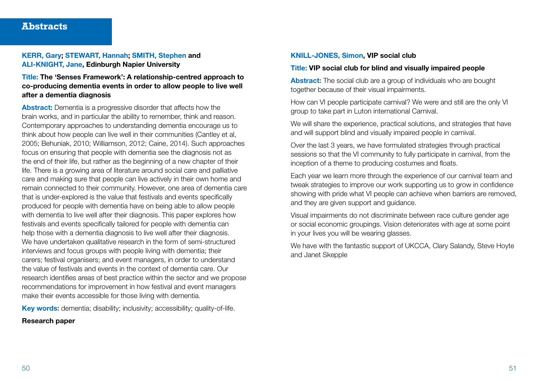#### KERR, Gary; STEWART, Hannah; SMITH, Stephen and ALI-KNIGHT, Jane, Edinburgh Napier University

Title: The 'Senses Framework': A relationship-centred approach to co-producing dementia events in order to allow people to live well after a dementia diagnosis

Abstract: Dementia is a progressive disorder that affects how the brain works, and in particular the ability to remember, think and reason. Contemporary approaches to understanding dementia encourage us to think about how people can live well in their communities (Cantley et al, 2005; Behuniak, 2010; Williamson, 2012; Caine, 2014). Such approaches focus on ensuring that people with dementia see the diagnosis not as the end of their life, but rather as the beginning of a new chapter of their life. There is a growing area of literature around social care and palliative care and making sure that people can live actively in their own home and remain connected to their community. However, one area of dementia care that is under-explored is the value that festivals and events specifically produced for people with dementia have on being able to allow people with dementia to live well after their diagnosis. This paper explores how festivals and events specifically tailored for people with dementia can help those with a dementia diagnosis to live well after their diagnosis. We have undertaken qualitative research in the form of semi-structured interviews and focus groups with people living with dementia; their carers; festival organisers; and event managers, in order to understand the value of festivals and events in the context of dementia care. Our research identifies areas of best practice within the sector and we propose recommendations for improvement in how festival and event managers make their events accessible for those living with dementia.

Key words: dementia; disability; inclusivity; accessibility; quality-of-life.

#### Research paper

#### KNILL-JONES, Simon, VIP social club

#### Title: VIP social club for blind and visually impaired people

Abstract: The social club are a group of individuals who are bought together because of their visual impairments.

How can VI people participate carnival? We were and still are the only VI group to take part in Luton international Carnival.

We will share the experience, practical solutions, and strategies that have and will support blind and visually impaired people in carnival.

Over the last 3 years, we have formulated strategies through practical sessions so that the VI community to fully participate in carnival, from the inception of a theme to producing costumes and floats.

Each year we learn more through the experience of our carnival team and tweak strategies to improve our work supporting us to grow in confidence showing with pride what VI people can achieve when barriers are removed, and they are given support and guidance.

Visual impairments do not discriminate between race culture gender age or social economic groupings. Vision deteriorates with age at some point in your lives you will be wearing glasses.

We have with the fantastic support of UKCCA, Clary Salandy, Steve Hoyte and Janet Skepple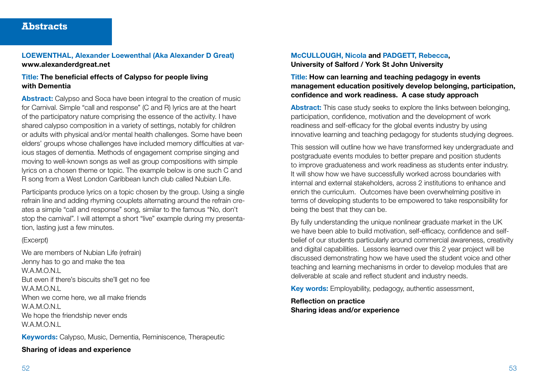#### LOEWENTHAL, Alexander Loewenthal (Aka Alexander D Great) www.alexanderdgreat.net

#### Title: The beneficial effects of Calypso for people living with Dementia

Abstract: Calypso and Soca have been integral to the creation of music for Carnival. Simple "call and response" (C and R) lyrics are at the heart of the participatory nature comprising the essence of the activity. I have shared calypso composition in a variety of settings, notably for children or adults with physical and/or mental health challenges. Some have been elders' groups whose challenges have included memory difficulties at various stages of dementia. Methods of engagement comprise singing and moving to well-known songs as well as group compositions with simple lyrics on a chosen theme or topic. The example below is one such C and R song from a West London Caribbean lunch club called Nubian Life.

Participants produce lyrics on a topic chosen by the group. Using a single refrain line and adding rhyming couplets alternating around the refrain creates a simple "call and response" song, similar to the famous "No, don't stop the carnival". I will attempt a short "live" example during my presentation, lasting just a few minutes.

#### (Excerpt)

We are members of Nubian Life (refrain) Jenny has to go and make the tea W.A.M.O.N.L But even if there's biscuits she'll get no fee W.A.M.O.N.L When we come here, we all make friends W.A.M.O.N.L. We hope the friendship never ends W.A.M.O.N.L

Keywords: Calypso, Music, Dementia, Reminiscence, Therapeutic

#### Sharing of ideas and experience

#### McCULLOUGH, Nicola and PADGETT, Rebecca, University of Salford / York St John University

#### Title: How can learning and teaching pedagogy in events management education positively develop belonging, participation, confidence and work readiness. A case study approach

Abstract: This case study seeks to explore the links between belonging. participation, confidence, motivation and the development of work readiness and self-efficacy for the global events industry by using innovative learning and teaching pedagogy for students studying degrees.

This session will outline how we have transformed key undergraduate and postgraduate events modules to better prepare and position students to improve graduateness and work readiness as students enter industry. It will show how we have successfully worked across boundaries with internal and external stakeholders, across 2 institutions to enhance and enrich the curriculum. Outcomes have been overwhelming positive in terms of developing students to be empowered to take responsibility for being the best that they can be.

By fully understanding the unique nonlinear graduate market in the UK we have been able to build motivation, self-efficacy, confidence and selfbelief of our students particularly around commercial awareness, creativity and digital capabilities. Lessons learned over this 2 year project will be discussed demonstrating how we have used the student voice and other teaching and learning mechanisms in order to develop modules that are deliverable at scale and reflect student and industry needs.

Key words: Employability, pedagogy, authentic assessment,

Reflection on practice Sharing ideas and/or experience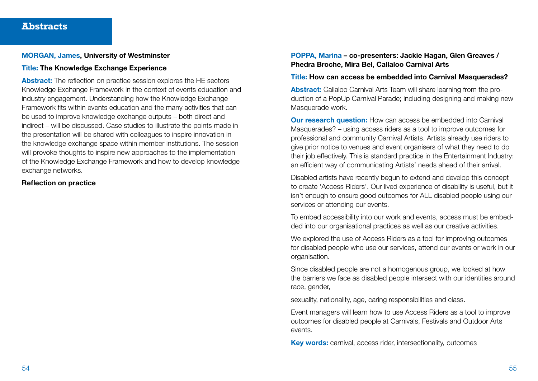#### MORGAN, James, University of Westminster

#### Title: The Knowledge Exchange Experience

Abstract: The reflection on practice session explores the HE sectors Knowledge Exchange Framework in the context of events education and industry engagement. Understanding how the Knowledge Exchange Framework fits within events education and the many activities that can be used to improve knowledge exchange outputs – both direct and indirect – will be discussed. Case studies to illustrate the points made in the presentation will be shared with colleagues to inspire innovation in the knowledge exchange space within member institutions. The session will provoke thoughts to inspire new approaches to the implementation of the Knowledge Exchange Framework and how to develop knowledge exchange networks.

#### Reflection on practice

#### POPPA, Marina – co-presenters: Jackie Hagan, Glen Greaves / Phedra Broche, Mira Bel, Callaloo Carnival Arts

#### Title: How can access be embedded into Carnival Masquerades?

Abstract: Callaloo Carnival Arts Team will share learning from the production of a PopUp Carnival Parade; including designing and making new Masquerade work.

**Our research question:** How can access be embedded into Carnival Masquerades? – using access riders as a tool to improve outcomes for professional and community Carnival Artists. Artists already use riders to give prior notice to venues and event organisers of what they need to do their job effectively. This is standard practice in the Entertainment Industry: an efficient way of communicating Artists' needs ahead of their arrival.

Disabled artists have recently begun to extend and develop this concept to create 'Access Riders'. Our lived experience of disability is useful, but it isn't enough to ensure good outcomes for ALL disabled people using our services or attending our events.

To embed accessibility into our work and events, access must be embedded into our organisational practices as well as our creative activities.

We explored the use of Access Riders as a tool for improving outcomes for disabled people who use our services, attend our events or work in our organisation.

Since disabled people are not a homogenous group, we looked at how the barriers we face as disabled people intersect with our identities around race, gender,

sexuality, nationality, age, caring responsibilities and class.

Event managers will learn how to use Access Riders as a tool to improve outcomes for disabled people at Carnivals, Festivals and Outdoor Arts events.

Key words: carnival, access rider, intersectionality, outcomes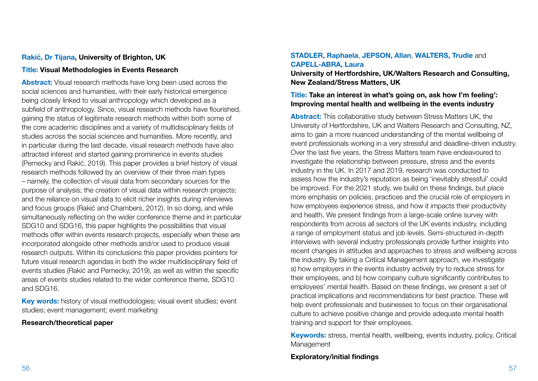#### **Rakić, Dr Tijana, University of Brighton, UK**

#### Title: Visual Methodologies in Events Research

Abstract: Visual research methods have long been used across the social sciences and humanities, with their early historical emergence being closely linked to visual anthropology which developed as a subfield of anthropology. Since, visual research methods have flourished, gaining the status of legitimate research methods within both some of the core academic disciplines and a variety of multidisciplinary fields of studies across the social sciences and humanities. More recently, and in particular during the last decade, visual research methods have also attracted interest and started gaining prominence in events studies (Pernecky and Rakić, 2019). This paper provides a brief history of visual research methods followed by an overview of their three main types – namely, the collection of visual data from secondary sources for the purpose of analysis; the creation of visual data within research projects; and the reliance on visual data to elicit richer insights during interviews and focus groups (Rakić and Chambers, 2012). In so doing, and while simultaneously reflecting on the wider conference theme and in particular SDG10 and SDG16, this paper highlights the possibilities that visual methods offer within events research projects, especially when these are incorporated alongside other methods and/or used to produce visual research outputs. Within its conclusions this paper provides pointers for future visual research agendas in both the wider multidisciplinary field of events studies (Rakić and Pernecky, 2019), as well as within the specific areas of events studies related to the wider conference theme, SDG10 and SDG16.

Key words: history of visual methodologies; visual event studies; event studies; event management; event marketing

#### Research/theoretical paper

#### STADLER, Raphaela, JEPSON, Allan, WALTERS, Trudie and CAPELL-ABRA, Laura

University of Hertfordshire, UK/Walters Research and Consulting, New Zealand/Stress Matters, UK

#### Title: Take an interest in what's going on, ask how I'm feeling': Improving mental health and wellbeing in the events industry

Abstract: This collaborative study between Stress Matters UK, the University of Hertfordshire, UK and Walters Research and Consulting, NZ, aims to gain a more nuanced understanding of the mental wellbeing of event professionals working in a very stressful and deadline-driven industry. Over the last five years, the Stress Matters team have endeavoured to investigate the relationship between pressure, stress and the events industry in the UK. In 2017 and 2019, research was conducted to assess how the industry's reputation as being 'inevitably stressful' could be improved. For the 2021 study, we build on these findings, but place more emphasis on policies, practices and the crucial role of employers in how employees experience stress, and how it impacts their productivity and health. We present findings from a large-scale online survey with respondents from across all sectors of the UK events industry, including a range of employment status and job levels. Semi-structured in-depth interviews with several industry professionals provide further insights into recent changes in attitudes and approaches to stress and wellbeing across the industry. By taking a Critical Management approach, we investigate a) how employers in the events industry actively try to reduce stress for their employees, and b) how company culture significantly contributes to employees' mental health. Based on these findings, we present a set of practical implications and recommendations for best practice. These will help event professionals and businesses to focus on their organisational culture to achieve positive change and provide adequate mental health training and support for their employees.

Keywords: stress, mental health, wellbeing, events industry, policy, Critical Management

#### Exploratory/initial findings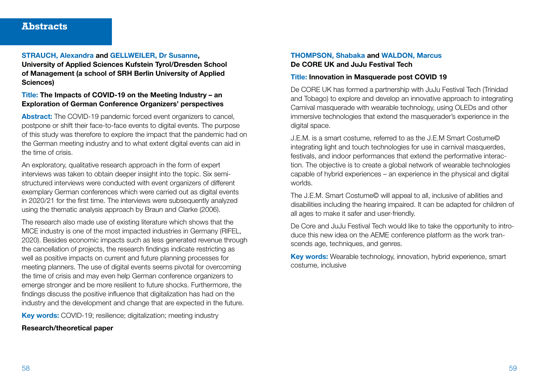#### STRAUCH, Alexandra and GELLWEILER, Dr Susanne, University of Applied Sciences Kufstein Tyrol/Dresden School of Management (a school of SRH Berlin University of Applied Sciences)

#### Title: The Impacts of COVID-19 on the Meeting Industry – an Exploration of German Conference Organizers' perspectives

Abstract: The COVID-19 pandemic forced event organizers to cancel, postpone or shift their face-to-face events to digital events. The purpose of this study was therefore to explore the impact that the pandemic had on the German meeting industry and to what extent digital events can aid in the time of crisis.

An exploratory, qualitative research approach in the form of expert interviews was taken to obtain deeper insight into the topic. Six semistructured interviews were conducted with event organizers of different exemplary German conferences which were carried out as digital events in 2020/21 for the first time. The interviews were subsequently analyzed using the thematic analysis approach by Braun and Clarke (2006).

The research also made use of existing literature which shows that the MICE industry is one of the most impacted industries in Germany (RIFEL, 2020). Besides economic impacts such as less generated revenue through the cancellation of projects, the research findings indicate restricting as well as positive impacts on current and future planning processes for meeting planners. The use of digital events seems pivotal for overcoming the time of crisis and may even help German conference organizers to emerge stronger and be more resilient to future shocks. Furthermore, the findings discuss the positive influence that digitalization has had on the industry and the development and change that are expected in the future.

Key words: COVID-19; resilience; digitalization; meeting industry

#### Research/theoretical paper

#### THOMPSON, Shabaka and WALDON, Marcus De CORE UK and JuJu Festival Tech

#### Title: Innovation in Masquerade post COVID 19

De CORE UK has formed a partnership with JuJu Festival Tech (Trinidad and Tobago) to explore and develop an innovative approach to integrating Carnival masquerade with wearable technology, using OLEDs and other immersive technologies that extend the masquerader's experience in the digital space.

J.E.M. is a smart costume, referred to as the J.E.M Smart Costume© integrating light and touch technologies for use in carnival masquerdes, festivals, and indoor performances that extend the performative interaction. The objective is to create a global network of wearable technologies capable of hybrid experiences – an experience in the physical and digital worlds.

The J.E.M. Smart Costume© will appeal to all, inclusive of abilities and disabilities including the hearing impaired. It can be adapted for children of all ages to make it safer and user-friendly.

De Core and JuJu Festival Tech would like to take the opportunity to introduce this new idea on the AEME conference platform as the work transcends age, techniques, and genres.

Key words: Wearable technology, innovation, hybrid experience, smart costume, inclusive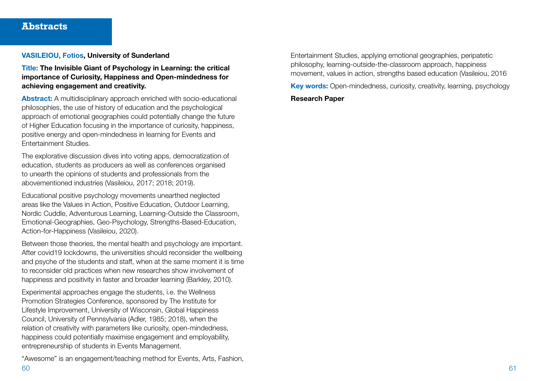#### VASILEIOU, Fotios, University of Sunderland

Title: The Invisible Giant of Psychology in Learning: the critical importance of Curiosity, Happiness and Open-mindedness for achieving engagement and creativity.

Abstract: A multidisciplinary approach enriched with socio-educational philosophies, the use of history of education and the psychological approach of emotional geographies could potentially change the future of Higher Education focusing in the importance of curiosity, happiness, positive energy and open-mindedness in learning for Events and Entertainment Studies.

The explorative discussion dives into voting apps, democratization of education, students as producers as well as conferences organised to unearth the opinions of students and professionals from the abovementioned industries (Vasileiou, 2017; 2018; 2019).

Educational positive psychology movements unearthed neglected areas like the Values in Action, Positive Education, Outdoor Learning, Nordic Cuddle, Adventurous Learning, Learning-Outside the Classroom, Emotional-Geographies, Geo-Psychology, Strengths-Based-Education, Action-for-Happiness (Vasileiou, 2020).

Between those theories, the mental health and psychology are important. After covid19 lockdowns, the universities should reconsider the wellbeing and psyche of the students and staff, when at the same moment it is time to reconsider old practices when new researches show involvement of happiness and positivity in faster and broader learning (Barkley, 2010).

Experimental approaches engage the students, i.e. the Wellness Promotion Strategies Conference, sponsored by The Institute for Lifestyle Improvement, University of Wisconsin, Global Happiness Council, University of Pennsylvania (Adler, 1985; 2018), when the relation of creativity with parameters like curiosity, open-mindedness, happiness could potentially maximise engagement and employability, entrepreneurship of students in Events Management.

"Awesome" is an engagement/teaching method for Events, Arts, Fashion,

Entertainment Studies, applying emotional geographies, peripatetic philosophy, learning-outside-the-classroom approach, happiness movement, values in action, strengths based education (Vasileiou, 2016

Key words: Open-mindedness, curiosity, creativity, learning, psychology

#### Research Paper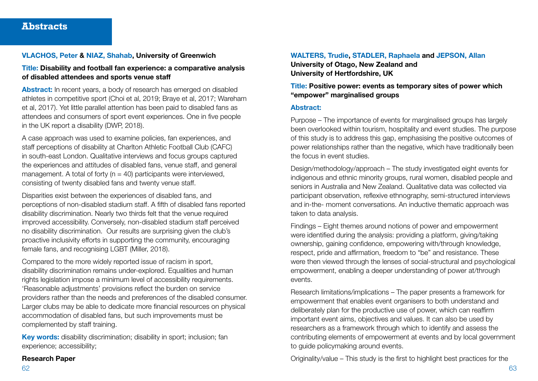#### VLACHOS, Peter & NIAZ, Shahab, University of Greenwich

#### Title: Disability and football fan experience: a comparative analysis of disabled attendees and sports venue staff

Abstract: In recent years, a body of research has emerged on disabled athletes in competitive sport (Choi et al, 2019; Braye et al, 2017; Wareham et al, 2017). Yet little parallel attention has been paid to disabled fans as attendees and consumers of sport event experiences. One in five people in the UK report a disability (DWP, 2018).

A case approach was used to examine policies, fan experiences, and staff perceptions of disability at Charlton Athletic Football Club (CAFC) in south-east London. Qualitative interviews and focus groups captured the experiences and attitudes of disabled fans, venue staff, and general management. A total of forty ( $n = 40$ ) participants were interviewed, consisting of twenty disabled fans and twenty venue staff.

Disparities exist between the experiences of disabled fans, and perceptions of non-disabled stadium staff. A fifth of disabled fans reported disability discrimination. Nearly two thirds felt that the venue required improved accessibility. Conversely, non-disabled stadium staff perceived no disability discrimination. Our results are surprising given the club's proactive inclusivity efforts in supporting the community, encouraging female fans, and recognising LGBT (Miller, 2018).

Compared to the more widely reported issue of racism in sport, disability discrimination remains under-explored. Equalities and human rights legislation impose a minimum level of accessibility requirements. 'Reasonable adjustments' provisions reflect the burden on service providers rather than the needs and preferences of the disabled consumer. Larger clubs may be able to dedicate more financial resources on physical accommodation of disabled fans, but such improvements must be complemented by staff training.

Key words: disability discrimination; disability in sport; inclusion; fan experience; accessibility;

#### Research Paper

WALTERS, Trudie, STADLER, Raphaela and JEPSON, Allan University of Otago, New Zealand and University of Hertfordshire, UK

#### Title: Positive power: events as temporary sites of power which "empower" marginalised groups

#### Abstract:

Purpose – The importance of events for marginalised groups has largely been overlooked within tourism, hospitality and event studies. The purpose of this study is to address this gap, emphasising the positive outcomes of power relationships rather than the negative, which have traditionally been the focus in event studies.

Design/methodology/approach – The study investigated eight events for indigenous and ethnic minority groups, rural women, disabled people and seniors in Australia and New Zealand. Qualitative data was collected via participant observation, reflexive ethnography, semi-structured interviews and in-the- moment conversations. An inductive thematic approach was taken to data analysis.

Findings – Eight themes around notions of power and empowerment were identified during the analysis: providing a platform, giving/taking ownership, gaining confidence, empowering with/through knowledge, respect, pride and affirmation, freedom to "be" and resistance. These were then viewed through the lenses of social-structural and psychological empowerment, enabling a deeper understanding of power at/through events.

Research limitations/implications – The paper presents a framework for empowerment that enables event organisers to both understand and deliberately plan for the productive use of power, which can reaffirm important event aims, objectives and values. It can also be used by researchers as a framework through which to identify and assess the contributing elements of empowerment at events and by local government to guide policymaking around events.

Originality/value – This study is the first to highlight best practices for the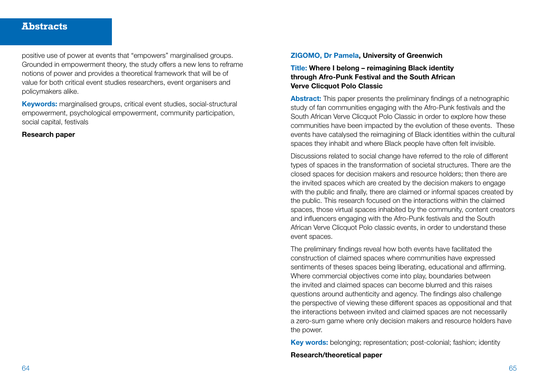positive use of power at events that "empowers" marginalised groups. Grounded in empowerment theory, the study offers a new lens to reframe notions of power and provides a theoretical framework that will be of value for both critical event studies researchers, event organisers and policymakers alike.

Keywords: marginalised groups, critical event studies, social-structural empowerment, psychological empowerment, community participation, social capital, festivals

#### Research paper

#### ZIGOMO, Dr Pamela, University of Greenwich

Title: Where I belong – reimagining Black identity through Afro-Punk Festival and the South African Verve Clicquot Polo Classic

Abstract: This paper presents the preliminary findings of a netnographic study of fan communities engaging with the Afro-Punk festivals and the South African Verve Clicquot Polo Classic in order to explore how these communities have been impacted by the evolution of these events. These events have catalysed the reimagining of Black identities within the cultural spaces they inhabit and where Black people have often felt invisible.

Discussions related to social change have referred to the role of different types of spaces in the transformation of societal structures. There are the closed spaces for decision makers and resource holders; then there are the invited spaces which are created by the decision makers to engage with the public and finally, there are claimed or informal spaces created by the public. This research focused on the interactions within the claimed spaces, those virtual spaces inhabited by the community, content creators and influencers engaging with the Afro-Punk festivals and the South African Verve Clicquot Polo classic events, in order to understand these event spaces.

The preliminary findings reveal how both events have facilitated the construction of claimed spaces where communities have expressed sentiments of theses spaces being liberating, educational and affirming. Where commercial objectives come into play, boundaries between the invited and claimed spaces can become blurred and this raises questions around authenticity and agency. The findings also challenge the perspective of viewing these different spaces as oppositional and that the interactions between invited and claimed spaces are not necessarily a zero-sum game where only decision makers and resource holders have the power.

Key words: belonging; representation; post-colonial; fashion; identity

#### Research/theoretical paper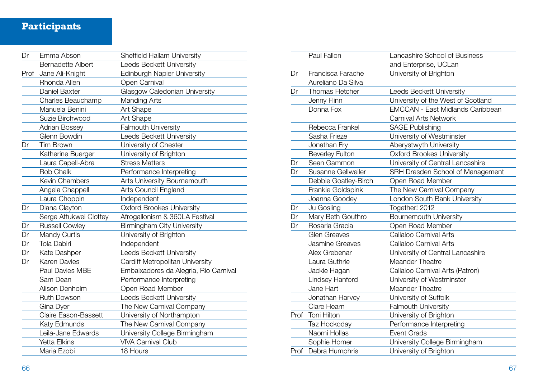# **Participants**

| Dr   | Emma Abson               | <b>Sheffield Hallam University</b>    |
|------|--------------------------|---------------------------------------|
|      | <b>Bernadette Albert</b> | <b>Leeds Beckett University</b>       |
| Prof | Jane Ali-Knight          | <b>Edinburgh Napier University</b>    |
|      | Rhonda Allen             | Open Carnival                         |
|      | Daniel Baxter            | Glasgow Caledonian University         |
|      | Charles Beauchamp        | Manding Arts                          |
|      | Manuela Benini           | Art Shape                             |
|      | Suzie Birchwood          | Art Shape                             |
|      | <b>Adrian Bossey</b>     | Falmouth University                   |
|      | Glenn Bowdin             | Leeds Beckett University              |
| Dr   | <b>Tim Brown</b>         | University of Chester                 |
|      | Katherine Buerger        | University of Brighton                |
|      | Laura Capell-Abra        | <b>Stress Matters</b>                 |
|      | Rob Chalk                | Performance Interpreting              |
|      | <b>Kevin Chambers</b>    | Arts University Bournemouth           |
|      | Angela Chappell          | Arts Council England                  |
|      | Laura Choppin            | Independent                           |
| Dr   | Diana Clayton            | <b>Oxford Brookes University</b>      |
|      | Serge Attukwei Clottey   | Afrogallonism & 360LA Festival        |
| Dr   | <b>Russell Cowley</b>    | <b>Birmingham City University</b>     |
| Dr   | Mandy Curtis             | University of Brighton                |
| Dr   | Tola Dabiri              | Independent                           |
| Dr   | Kate Dashper             | Leeds Beckett University              |
| Dr   | <b>Karen Davies</b>      | Cardiff Metropolitan University       |
|      | Paul Davies MBE          | Embaixadores da Alegria, Rio Carnival |
|      | Sam Dean                 | Performance Interpreting              |
|      | Alison Denholm           | Open Road Member                      |
|      | <b>Ruth Dowson</b>       | Leeds Beckett University              |
|      | Gina Dyer                | The New Carnival Company              |
|      | Claire Eason-Bassett     | University of Northampton             |
|      | Katy Edmunds             | The New Carnival Company              |
|      | Leila-Jane Edwards       | University College Birmingham         |
|      | <b>Yetta Elkins</b>      | <b>VIVA Carnival Club</b>             |
|      | Maria Ezobi              | 18 Hours                              |

|      | Paul Fallon            | Lancashire School of Business           |
|------|------------------------|-----------------------------------------|
|      |                        | and Enterprise, UCLan                   |
| Dr   | Francisca Farache      | University of Brighton                  |
|      | Aureliano Da Silva     |                                         |
| Dr   | <b>Thomas Fletcher</b> | Leeds Beckett University                |
|      | Jenny Flinn            | University of the West of Scotland      |
|      | Donna Fox              | <b>EMCCAN - East Midlands Caribbean</b> |
|      |                        | <b>Carnival Arts Network</b>            |
|      | Rebecca Frankel        | <b>SAGE Publishing</b>                  |
|      | Sasha Frieze           | University of Westminster               |
|      | Jonathan Fry           | Aberystwyth University                  |
|      | <b>Beverley Fulton</b> | <b>Oxford Brookes University</b>        |
| Dr   | Sean Gammon            | University of Central Lancashire        |
| Dr   | Susanne Gellweiler     | SRH Dresden School of Management        |
|      | Debbie Goatley-Birch   | Open Road Member                        |
|      | Frankie Goldspink      | The New Carnival Company                |
|      | Joanna Goodey          | London South Bank University            |
| Dr   | Ju Gosling             | Together! 2012                          |
| Dr   | Mary Beth Gouthro      | <b>Bournemouth University</b>           |
| Dr   | Rosaria Gracia         | Open Road Member                        |
|      | <b>Glen Greaves</b>    | Callaloo Carnival Arts                  |
|      | <b>Jasmine Greaves</b> | Callaloo Carnival Arts                  |
|      | Alex Grebenar          | University of Central Lancashire        |
|      | Laura Guthrie          | <b>Meander Theatre</b>                  |
|      | Jackie Hagan           | Callaloo Carnival Arts (Patron)         |
|      | Lindsey Hanford        | University of Westminster               |
|      | Jane Hart              | Meander Theatre                         |
|      | Jonathan Harvey        | University of Suffolk                   |
|      | Clare Hearn            | Falmouth University                     |
| Prof | Toni Hilton            | University of Brighton                  |
|      | Taz Hockoday           | Performance Interpreting                |
|      | Naomi Hollas           | <b>Event Grads</b>                      |
|      | Sophie Homer           | University College Birmingham           |
|      | Prof Debra Humphris    | University of Brighton                  |
|      |                        |                                         |